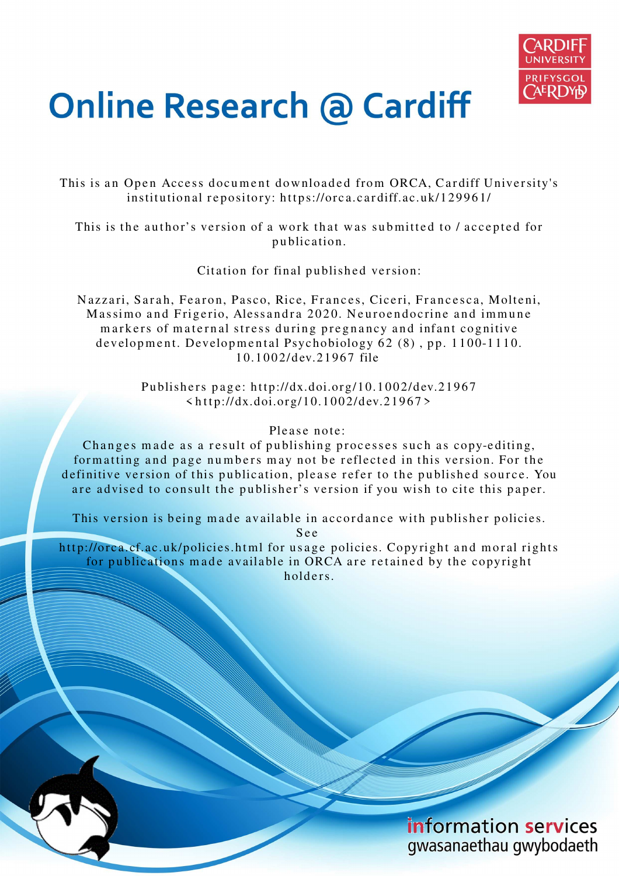

# **Online Research @ Cardiff**

This is an Open Access document downloaded from ORCA, Cardiff University's institutional repository: https://orca.cardiff.ac.uk/129961/

This is the author's version of a work that was submitted to / accepted for p u blication.

Citation for final published version:

Nazzari, Sarah, Fearon, Pasco, Rice, Frances, Ciceri, Francesca, Molteni, Massimo and Frigerio, Alessandra 2020. Neuroendocrine and immune markers of maternal stress during pregnancy and infant cognitive development. Developmental Psychobiology  $62(8)$ , pp. 1100-1110. 10.1002/dev.21967 file

> Publishers page: http://dx.doi.org/10.1002/dev.21967  $\langle \text{http://dx.doi.org/10.1002/dev.21967>}$

# Please note:

Changes made as a result of publishing processes such as copy-editing, formatting and page numbers may not be reflected in this version. For the definitive version of this publication, please refer to the published source. You are advised to consult the publisher's version if you wish to cite this paper.

This version is being made available in accordance with publisher policies.

S e e

http://orca.cf.ac.uk/policies.html for usage policies. Copyright and moral rights for publications made available in ORCA are retained by the copyright holders.

> information services gwasanaethau gwybodaeth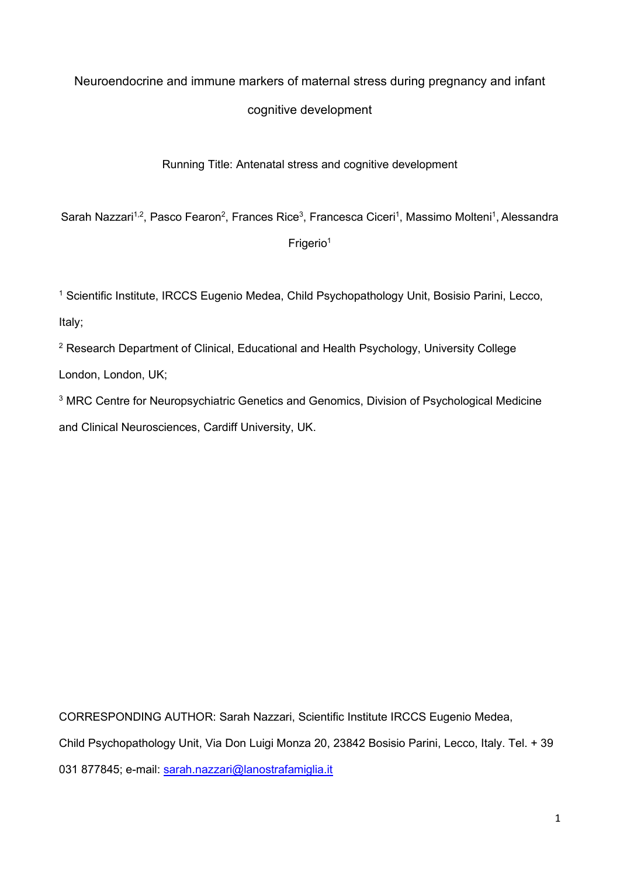# Neuroendocrine and immune markers of maternal stress during pregnancy and infant

# cognitive development

# Running Title: Antenatal stress and cognitive development

Sarah Nazzari $^{1,2}$ , Pasco Fearon $^{2}$ , Frances Rice $^{3}$ , Francesca Ciceri $^{1}$ , Massimo Molteni $^{1}$ , Alessandra

# Frigerio<sup>1</sup>

<sup>1</sup> Scientific Institute, IRCCS Eugenio Medea, Child Psychopathology Unit, Bosisio Parini, Lecco, Italy;

<sup>2</sup> Research Department of Clinical, Educational and Health Psychology, University College

London, London, UK;

<sup>3</sup> MRC Centre for Neuropsychiatric Genetics and Genomics, Division of Psychological Medicine and Clinical Neurosciences, Cardiff University, UK.

CORRESPONDING AUTHOR: Sarah Nazzari, Scientific Institute IRCCS Eugenio Medea,

Child Psychopathology Unit, Via Don Luigi Monza 20, 23842 Bosisio Parini, Lecco, Italy. Tel. + 39

031 877845; e-mail: sarah.nazzari@lanostrafamiglia.it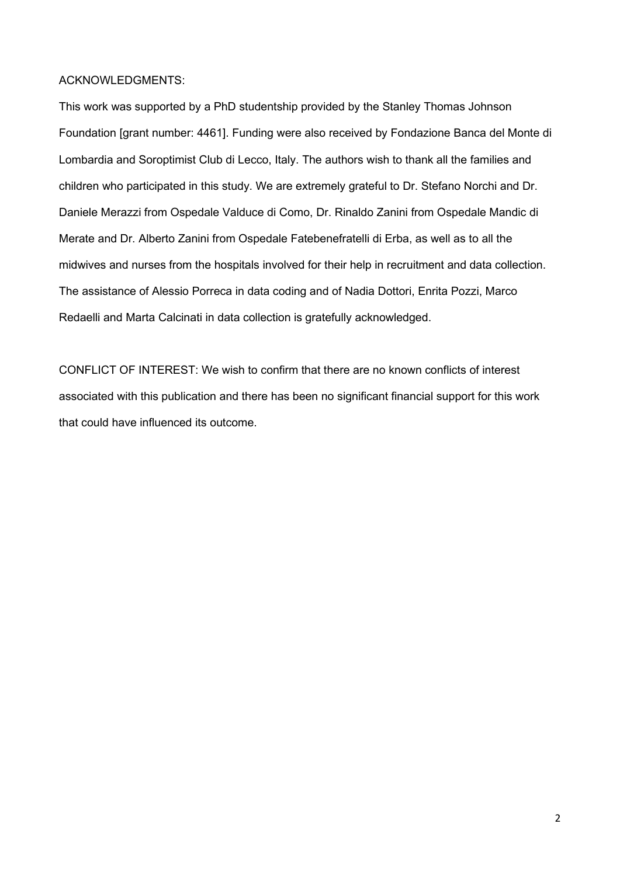## ACKNOWLEDGMENTS:

This work was supported by a PhD studentship provided by the Stanley Thomas Johnson Foundation [grant number: 4461]. Funding were also received by Fondazione Banca del Monte di Lombardia and Soroptimist Club di Lecco, Italy. The authors wish to thank all the families and children who participated in this study. We are extremely grateful to Dr. Stefano Norchi and Dr. Daniele Merazzi from Ospedale Valduce di Como, Dr. Rinaldo Zanini from Ospedale Mandic di Merate and Dr. Alberto Zanini from Ospedale Fatebenefratelli di Erba, as well as to all the midwives and nurses from the hospitals involved for their help in recruitment and data collection. The assistance of Alessio Porreca in data coding and of Nadia Dottori, Enrita Pozzi, Marco Redaelli and Marta Calcinati in data collection is gratefully acknowledged.

CONFLICT OF INTEREST: We wish to confirm that there are no known conflicts of interest associated with this publication and there has been no significant financial support for this work that could have influenced its outcome.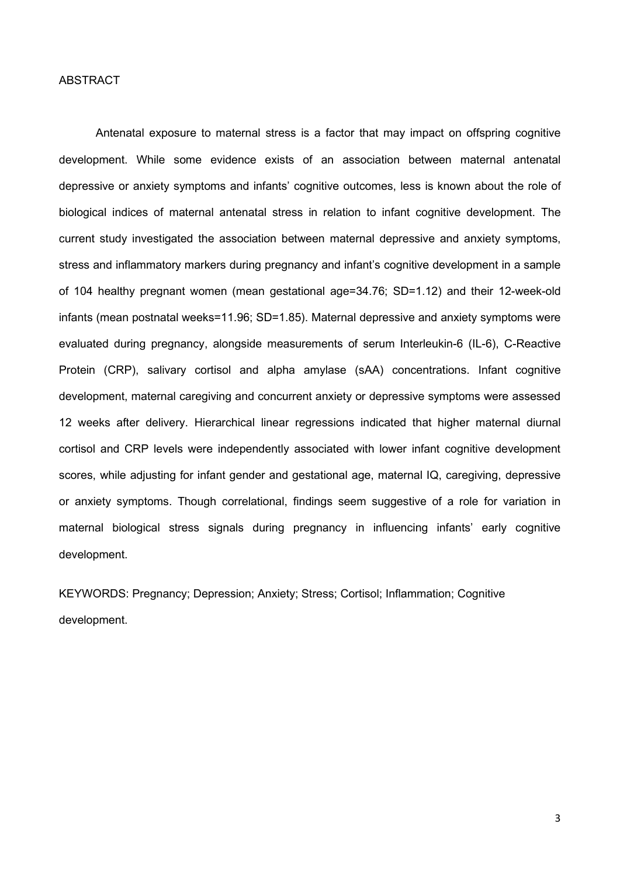### **ABSTRACT**

Antenatal exposure to maternal stress is a factor that may impact on offspring cognitive development. While some evidence exists of an association between maternal antenatal depressive or anxiety symptoms and infants' cognitive outcomes, less is known about the role of biological indices of maternal antenatal stress in relation to infant cognitive development. The current study investigated the association between maternal depressive and anxiety symptoms, stress and inflammatory markers during pregnancy and infant's cognitive development in a sample of 104 healthy pregnant women (mean gestational age=34.76; SD=1.12) and their 12-week-old infants (mean postnatal weeks=11.96; SD=1.85). Maternal depressive and anxiety symptoms were evaluated during pregnancy, alongside measurements of serum Interleukin-6 (IL-6), C-Reactive Protein (CRP), salivary cortisol and alpha amylase (sAA) concentrations. Infant cognitive development, maternal caregiving and concurrent anxiety or depressive symptoms were assessed 12 weeks after delivery. Hierarchical linear regressions indicated that higher maternal diurnal cortisol and CRP levels were independently associated with lower infant cognitive development scores, while adjusting for infant gender and gestational age, maternal IQ, caregiving, depressive or anxiety symptoms. Though correlational, findings seem suggestive of a role for variation in maternal biological stress signals during pregnancy in influencing infants' early cognitive development.

KEYWORDS: Pregnancy; Depression; Anxiety; Stress; Cortisol; Inflammation; Cognitive development.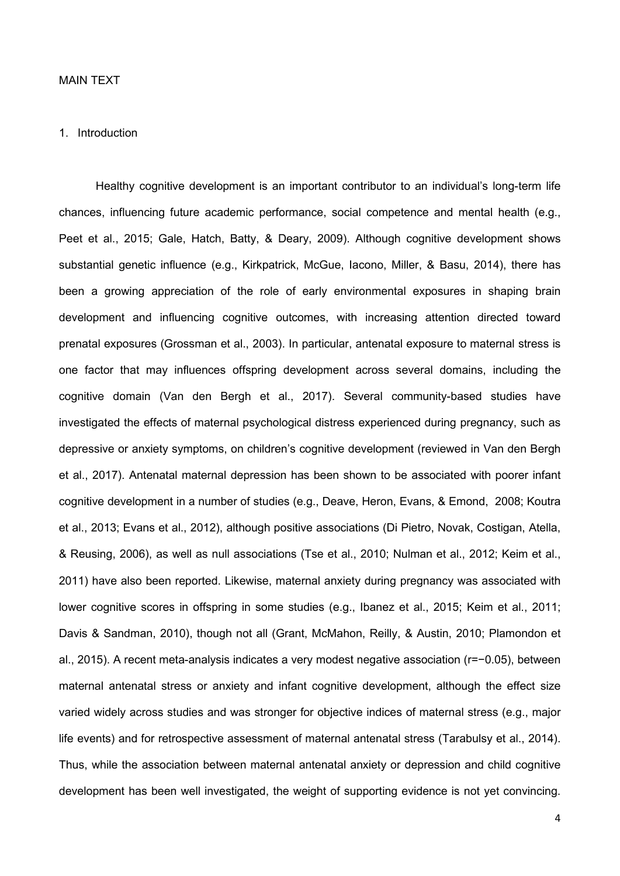### MAIN TEXT

#### 1. Introduction

Healthy cognitive development is an important contributor to an individual's long-term life chances, influencing future academic performance, social competence and mental health (e.g., Peet et al., 2015; Gale, Hatch, Batty, & Deary, 2009). Although cognitive development shows substantial genetic influence (e.g., Kirkpatrick, McGue, Iacono, Miller, & Basu, 2014), there has been a growing appreciation of the role of early environmental exposures in shaping brain development and influencing cognitive outcomes, with increasing attention directed toward prenatal exposures (Grossman et al., 2003). In particular, antenatal exposure to maternal stress is one factor that may influences offspring development across several domains, including the cognitive domain (Van den Bergh et al., 2017). Several community-based studies have investigated the effects of maternal psychological distress experienced during pregnancy, such as depressive or anxiety symptoms, on children's cognitive development (reviewed in Van den Bergh et al., 2017). Antenatal maternal depression has been shown to be associated with poorer infant cognitive development in a number of studies (e.g., Deave, Heron, Evans, & Emond, 2008; Koutra et al., 2013; Evans et al., 2012), although positive associations (Di Pietro, Novak, Costigan, Atella, & Reusing, 2006), as well as null associations (Tse et al., 2010; Nulman et al., 2012; Keim et al., 2011) have also been reported. Likewise, maternal anxiety during pregnancy was associated with lower cognitive scores in offspring in some studies (e.g., Ibanez et al., 2015; Keim et al., 2011; Davis & Sandman, 2010), though not all (Grant, McMahon, Reilly, & Austin, 2010; Plamondon et al., 2015). A recent meta-analysis indicates a very modest negative association (r=−0.05), between maternal antenatal stress or anxiety and infant cognitive development, although the effect size varied widely across studies and was stronger for objective indices of maternal stress (e.g., major life events) and for retrospective assessment of maternal antenatal stress (Tarabulsy et al., 2014). Thus, while the association between maternal antenatal anxiety or depression and child cognitive development has been well investigated, the weight of supporting evidence is not yet convincing.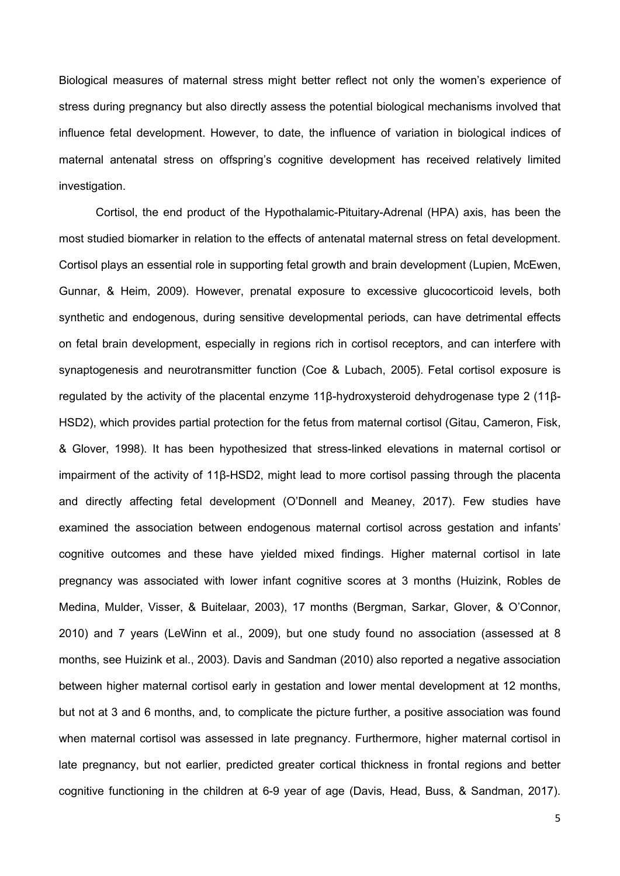Biological measures of maternal stress might better reflect not only the women's experience of stress during pregnancy but also directly assess the potential biological mechanisms involved that influence fetal development. However, to date, the influence of variation in biological indices of maternal antenatal stress on offspring's cognitive development has received relatively limited investigation.

Cortisol, the end product of the Hypothalamic-Pituitary-Adrenal (HPA) axis, has been the most studied biomarker in relation to the effects of antenatal maternal stress on fetal development. Cortisol plays an essential role in supporting fetal growth and brain development (Lupien, McEwen, Gunnar, & Heim, 2009). However, prenatal exposure to excessive glucocorticoid levels, both synthetic and endogenous, during sensitive developmental periods, can have detrimental effects on fetal brain development, especially in regions rich in cortisol receptors, and can interfere with synaptogenesis and neurotransmitter function (Coe & Lubach, 2005). Fetal cortisol exposure is regulated by the activity of the placental enzyme 11β-hydroxysteroid dehydrogenase type 2 (11β-HSD2), which provides partial protection for the fetus from maternal cortisol (Gitau, Cameron, Fisk, & Glover, 1998). It has been hypothesized that stress-linked elevations in maternal cortisol or impairment of the activity of 11β-HSD2, might lead to more cortisol passing through the placenta and directly affecting fetal development (O'Donnell and Meaney, 2017). Few studies have examined the association between endogenous maternal cortisol across gestation and infants' cognitive outcomes and these have yielded mixed findings. Higher maternal cortisol in late pregnancy was associated with lower infant cognitive scores at 3 months (Huizink, Robles de Medina, Mulder, Visser, & Buitelaar, 2003), 17 months (Bergman, Sarkar, Glover, & O'Connor, 2010) and 7 years (LeWinn et al., 2009), but one study found no association (assessed at 8 months, see Huizink et al., 2003). Davis and Sandman (2010) also reported a negative association between higher maternal cortisol early in gestation and lower mental development at 12 months, but not at 3 and 6 months, and, to complicate the picture further, a positive association was found when maternal cortisol was assessed in late pregnancy. Furthermore, higher maternal cortisol in late pregnancy, but not earlier, predicted greater cortical thickness in frontal regions and better cognitive functioning in the children at 6-9 year of age (Davis, Head, Buss, & Sandman, 2017).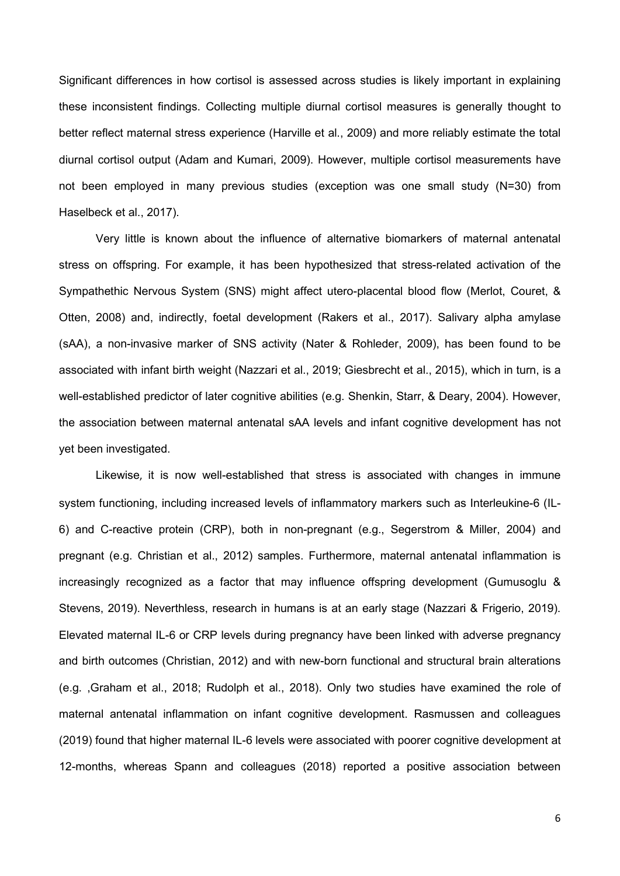Significant differences in how cortisol is assessed across studies is likely important in explaining these inconsistent findings. Collecting multiple diurnal cortisol measures is generally thought to better reflect maternal stress experience (Harville et al., 2009) and more reliably estimate the total diurnal cortisol output (Adam and Kumari, 2009). However, multiple cortisol measurements have not been employed in many previous studies (exception was one small study (N=30) from Haselbeck et al., 2017).

Very little is known about the influence of alternative biomarkers of maternal antenatal stress on offspring. For example, it has been hypothesized that stress-related activation of the Sympathethic Nervous System (SNS) might affect utero-placental blood flow (Merlot, Couret, & Otten, 2008) and, indirectly, foetal development (Rakers et al., 2017). Salivary alpha amylase (sAA), a non-invasive marker of SNS activity (Nater & Rohleder, 2009), has been found to be associated with infant birth weight (Nazzari et al., 2019; Giesbrecht et al., 2015), which in turn, is a well-established predictor of later cognitive abilities (e.g. Shenkin, Starr, & Deary, 2004). However, the association between maternal antenatal sAA levels and infant cognitive development has not yet been investigated.

Likewise, it is now well-established that stress is associated with changes in immune system functioning, including increased levels of inflammatory markers such as Interleukine-6 (IL-6) and C-reactive protein (CRP), both in non-pregnant (e.g., Segerstrom & Miller, 2004) and pregnant (e.g. Christian et al., 2012) samples. Furthermore, maternal antenatal inflammation is increasingly recognized as a factor that may influence offspring development (Gumusoglu & Stevens, 2019). Neverthless, research in humans is at an early stage (Nazzari & Frigerio, 2019). Elevated maternal IL-6 or CRP levels during pregnancy have been linked with adverse pregnancy and birth outcomes (Christian, 2012) and with new-born functional and structural brain alterations (e.g. ,Graham et al., 2018; Rudolph et al., 2018). Only two studies have examined the role of maternal antenatal inflammation on infant cognitive development. Rasmussen and colleagues (2019) found that higher maternal IL-6 levels were associated with poorer cognitive development at 12-months, whereas Spann and colleagues (2018) reported a positive association between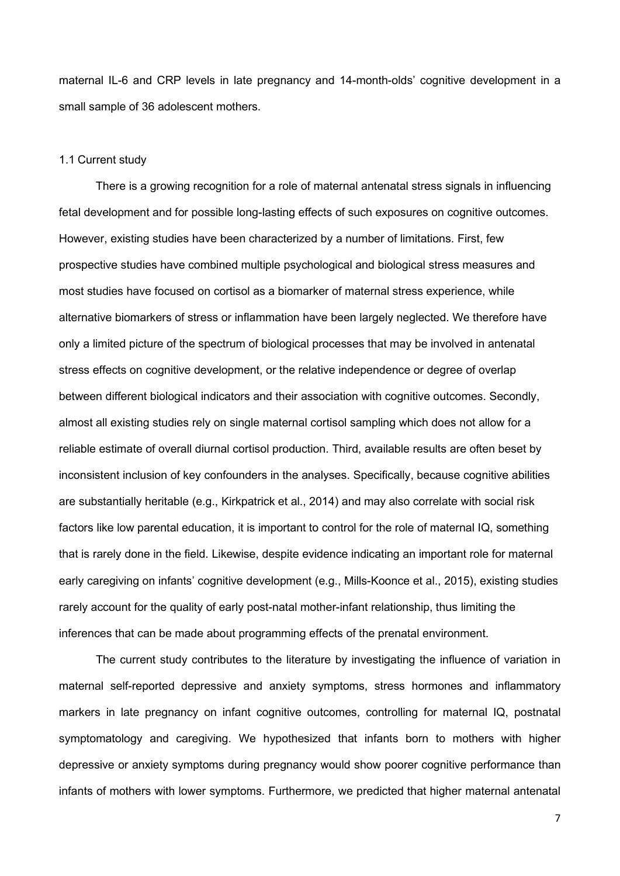maternal IL-6 and CRP levels in late pregnancy and 14-month-olds' cognitive development in a small sample of 36 adolescent mothers.

#### 1.1 Current study

There is a growing recognition for a role of maternal antenatal stress signals in influencing fetal development and for possible long-lasting effects of such exposures on cognitive outcomes. However, existing studies have been characterized by a number of limitations. First, few prospective studies have combined multiple psychological and biological stress measures and most studies have focused on cortisol as a biomarker of maternal stress experience, while alternative biomarkers of stress or inflammation have been largely neglected. We therefore have only a limited picture of the spectrum of biological processes that may be involved in antenatal stress effects on cognitive development, or the relative independence or degree of overlap between different biological indicators and their association with cognitive outcomes. Secondly, almost all existing studies rely on single maternal cortisol sampling which does not allow for a reliable estimate of overall diurnal cortisol production. Third, available results are often beset by inconsistent inclusion of key confounders in the analyses. Specifically, because cognitive abilities are substantially heritable (e.g., Kirkpatrick et al., 2014) and may also correlate with social risk factors like low parental education, it is important to control for the role of maternal IQ, something that is rarely done in the field. Likewise, despite evidence indicating an important role for maternal early caregiving on infants' cognitive development (e.g., Mills-Koonce et al., 2015), existing studies rarely account for the quality of early post-natal mother-infant relationship, thus limiting the inferences that can be made about programming effects of the prenatal environment.

The current study contributes to the literature by investigating the influence of variation in maternal self-reported depressive and anxiety symptoms, stress hormones and inflammatory markers in late pregnancy on infant cognitive outcomes, controlling for maternal IQ, postnatal symptomatology and caregiving. We hypothesized that infants born to mothers with higher depressive or anxiety symptoms during pregnancy would show poorer cognitive performance than infants of mothers with lower symptoms. Furthermore, we predicted that higher maternal antenatal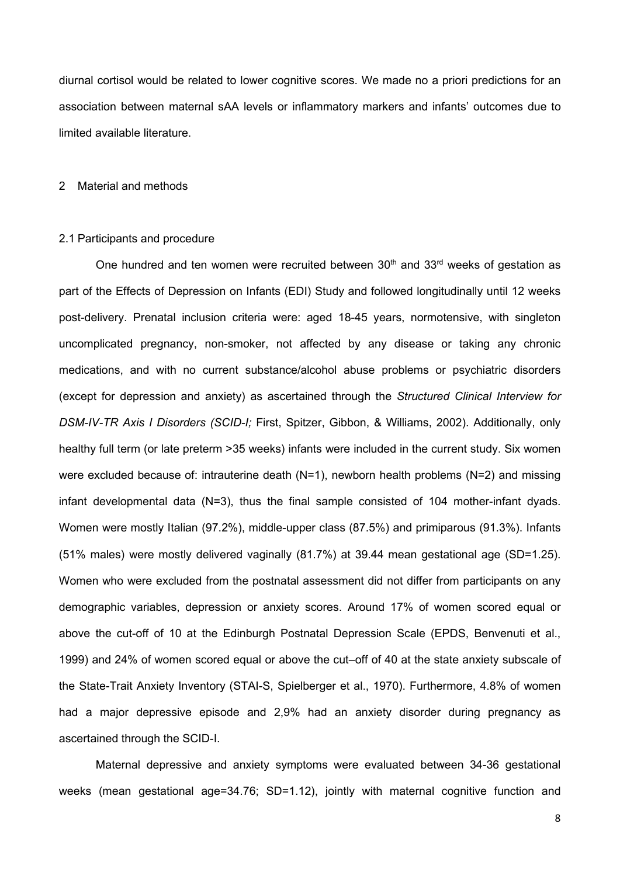diurnal cortisol would be related to lower cognitive scores. We made no a priori predictions for an association between maternal sAA levels or inflammatory markers and infants' outcomes due to limited available literature.

#### 2 Material and methods

## 2.1 Participants and procedure

One hundred and ten women were recruited between  $30<sup>th</sup>$  and  $33<sup>rd</sup>$  weeks of gestation as part of the Effects of Depression on Infants (EDI) Study and followed longitudinally until 12 weeks post-delivery. Prenatal inclusion criteria were: aged 18-45 years, normotensive, with singleton uncomplicated pregnancy, non-smoker, not affected by any disease or taking any chronic medications, and with no current substance/alcohol abuse problems or psychiatric disorders (except for depression and anxiety) as ascertained through the *Structured Clinical Interview for DSM-IV-TR Axis I Disorders (SCID-I;* First, Spitzer, Gibbon, & Williams, 2002). Additionally, only healthy full term (or late preterm >35 weeks) infants were included in the current study. Six women were excluded because of: intrauterine death (N=1), newborn health problems (N=2) and missing infant developmental data (N=3), thus the final sample consisted of 104 mother-infant dyads. Women were mostly Italian (97.2%), middle-upper class (87.5%) and primiparous (91.3%). Infants (51% males) were mostly delivered vaginally (81.7%) at 39.44 mean gestational age (SD=1.25). Women who were excluded from the postnatal assessment did not differ from participants on any demographic variables, depression or anxiety scores. Around 17% of women scored equal or above the cut-off of 10 at the Edinburgh Postnatal Depression Scale (EPDS, Benvenuti et al., 1999) and 24% of women scored equal or above the cut–off of 40 at the state anxiety subscale of the State-Trait Anxiety Inventory (STAI-S, Spielberger et al., 1970). Furthermore, 4.8% of women had a major depressive episode and 2,9% had an anxiety disorder during pregnancy as ascertained through the SCID-I.

Maternal depressive and anxiety symptoms were evaluated between 34-36 gestational weeks (mean gestational age=34.76; SD=1.12), jointly with maternal cognitive function and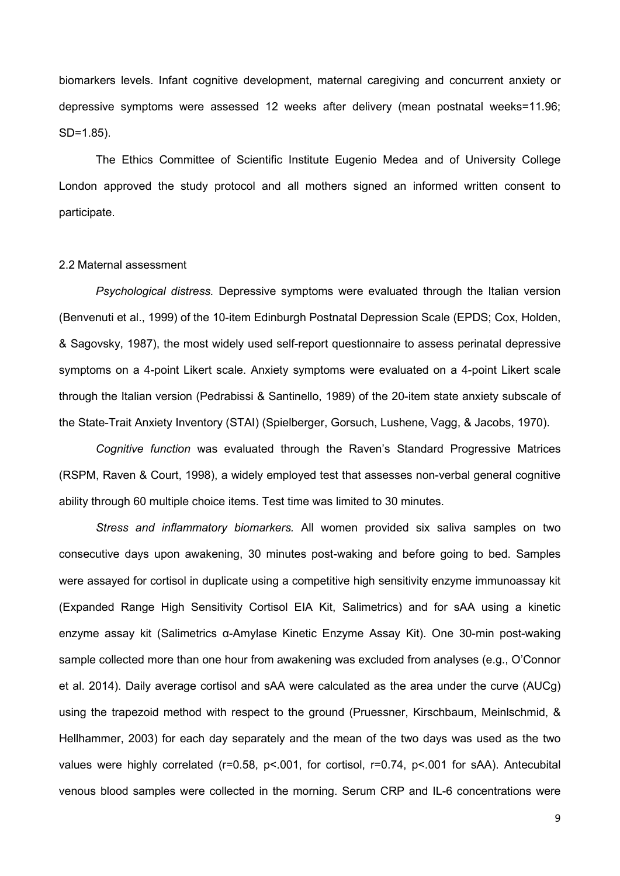biomarkers levels. Infant cognitive development, maternal caregiving and concurrent anxiety or depressive symptoms were assessed 12 weeks after delivery (mean postnatal weeks=11.96; SD=1.85).

The Ethics Committee of Scientific Institute Eugenio Medea and of University College London approved the study protocol and all mothers signed an informed written consent to participate.

## 2.2 Maternal assessment

*Psychological distress.* Depressive symptoms were evaluated through the Italian version (Benvenuti et al., 1999) of the 10-item Edinburgh Postnatal Depression Scale (EPDS; Cox, Holden, & Sagovsky, 1987), the most widely used self-report questionnaire to assess perinatal depressive symptoms on a 4-point Likert scale. Anxiety symptoms were evaluated on a 4-point Likert scale through the Italian version (Pedrabissi & Santinello, 1989) of the 20-item state anxiety subscale of the State-Trait Anxiety Inventory (STAI) (Spielberger, Gorsuch, Lushene, Vagg, & Jacobs, 1970).

*Cognitive function* was evaluated through the Raven's Standard Progressive Matrices (RSPM, Raven & Court, 1998), a widely employed test that assesses non-verbal general cognitive ability through 60 multiple choice items. Test time was limited to 30 minutes.

*Stress and inflammatory biomarkers.* All women provided six saliva samples on two consecutive days upon awakening, 30 minutes post-waking and before going to bed. Samples were assayed for cortisol in duplicate using a competitive high sensitivity enzyme immunoassay kit (Expanded Range High Sensitivity Cortisol EIA Kit, Salimetrics) and for sAA using a kinetic enzyme assay kit (Salimetrics α-Amylase Kinetic Enzyme Assay Kit). One 30-min post-waking sample collected more than one hour from awakening was excluded from analyses (e.g., O'Connor et al. 2014). Daily average cortisol and sAA were calculated as the area under the curve (AUCg) using the trapezoid method with respect to the ground (Pruessner, Kirschbaum, Meinlschmid, & Hellhammer, 2003) for each day separately and the mean of the two days was used as the two values were highly correlated (r=0.58, p<.001, for cortisol, r=0.74, p<.001 for sAA). Antecubital venous blood samples were collected in the morning. Serum CRP and IL-6 concentrations were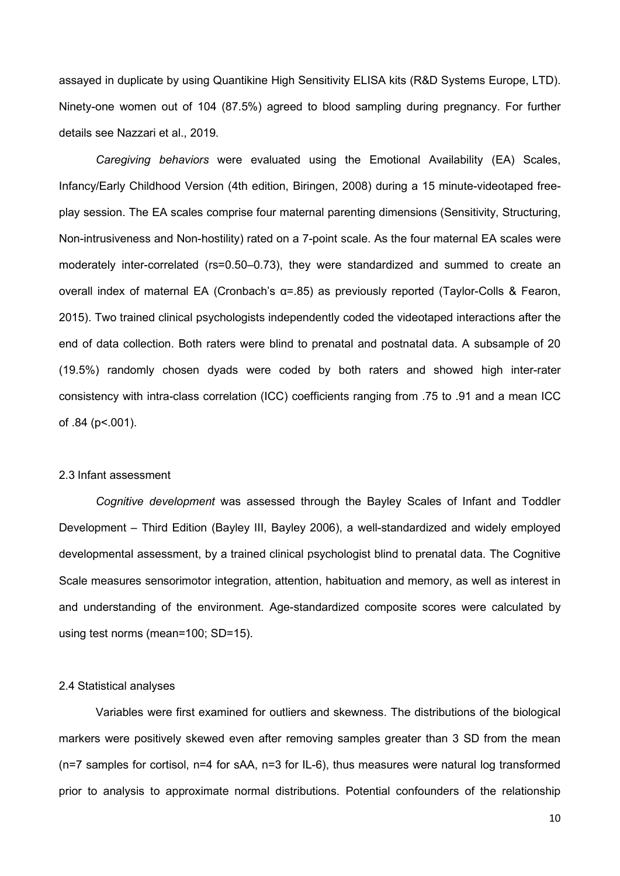assayed in duplicate by using Quantikine High Sensitivity ELISA kits (R&D Systems Europe, LTD). Ninety-one women out of 104 (87.5%) agreed to blood sampling during pregnancy. For further details see Nazzari et al., 2019.

*Caregiving behaviors* were evaluated using the Emotional Availability (EA) Scales, Infancy/Early Childhood Version (4th edition, Biringen, 2008) during a 15 minute-videotaped freeplay session. The EA scales comprise four maternal parenting dimensions (Sensitivity, Structuring, Non-intrusiveness and Non-hostility) rated on a 7-point scale. As the four maternal EA scales were moderately inter-correlated (rs=0.50–0.73), they were standardized and summed to create an overall index of maternal EA (Cronbach's α=.85) as previously reported (Taylor-Colls & Fearon, 2015). Two trained clinical psychologists independently coded the videotaped interactions after the end of data collection. Both raters were blind to prenatal and postnatal data. A subsample of 20 (19.5%) randomly chosen dyads were coded by both raters and showed high inter-rater consistency with intra-class correlation (ICC) coefficients ranging from .75 to .91 and a mean ICC of .84 (p<.001).

## 2.3 Infant assessment

*Cognitive development* was assessed through the Bayley Scales of Infant and Toddler Development – Third Edition (Bayley III, Bayley 2006), a well-standardized and widely employed developmental assessment, by a trained clinical psychologist blind to prenatal data. The Cognitive Scale measures sensorimotor integration, attention, habituation and memory, as well as interest in and understanding of the environment. Age-standardized composite scores were calculated by using test norms (mean=100; SD=15).

#### 2.4 Statistical analyses

Variables were first examined for outliers and skewness. The distributions of the biological markers were positively skewed even after removing samples greater than 3 SD from the mean (n=7 samples for cortisol, n=4 for sAA, n=3 for IL-6), thus measures were natural log transformed prior to analysis to approximate normal distributions. Potential confounders of the relationship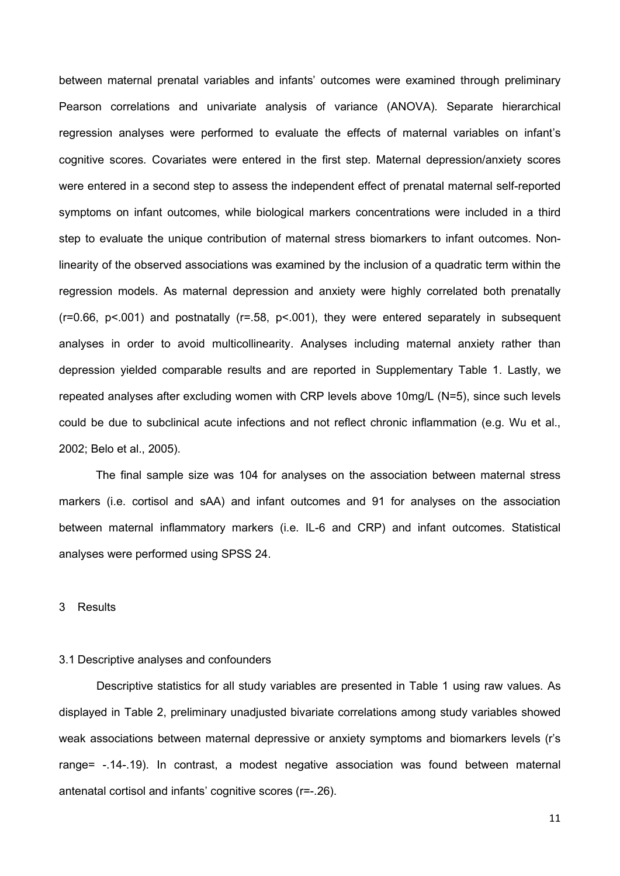between maternal prenatal variables and infants' outcomes were examined through preliminary Pearson correlations and univariate analysis of variance (ANOVA). Separate hierarchical regression analyses were performed to evaluate the effects of maternal variables on infant's cognitive scores. Covariates were entered in the first step. Maternal depression/anxiety scores were entered in a second step to assess the independent effect of prenatal maternal self-reported symptoms on infant outcomes, while biological markers concentrations were included in a third step to evaluate the unique contribution of maternal stress biomarkers to infant outcomes. Nonlinearity of the observed associations was examined by the inclusion of a quadratic term within the regression models. As maternal depression and anxiety were highly correlated both prenatally  $(r=0.66, p<0.001)$  and postnatally  $(r=.58, p<0.001)$ , they were entered separately in subsequent analyses in order to avoid multicollinearity. Analyses including maternal anxiety rather than depression yielded comparable results and are reported in Supplementary Table 1. Lastly, we repeated analyses after excluding women with CRP levels above 10mg/L (N=5), since such levels could be due to subclinical acute infections and not reflect chronic inflammation (e.g. Wu et al., 2002; Belo et al., 2005).

The final sample size was 104 for analyses on the association between maternal stress markers (i.e. cortisol and sAA) and infant outcomes and 91 for analyses on the association between maternal inflammatory markers (i.e. IL-6 and CRP) and infant outcomes. Statistical analyses were performed using SPSS 24.

## 3 Results

## 3.1 Descriptive analyses and confounders

Descriptive statistics for all study variables are presented in Table 1 using raw values. As displayed in Table 2, preliminary unadjusted bivariate correlations among study variables showed weak associations between maternal depressive or anxiety symptoms and biomarkers levels (r's range= -.14-.19). In contrast, a modest negative association was found between maternal antenatal cortisol and infants' cognitive scores (r=-.26).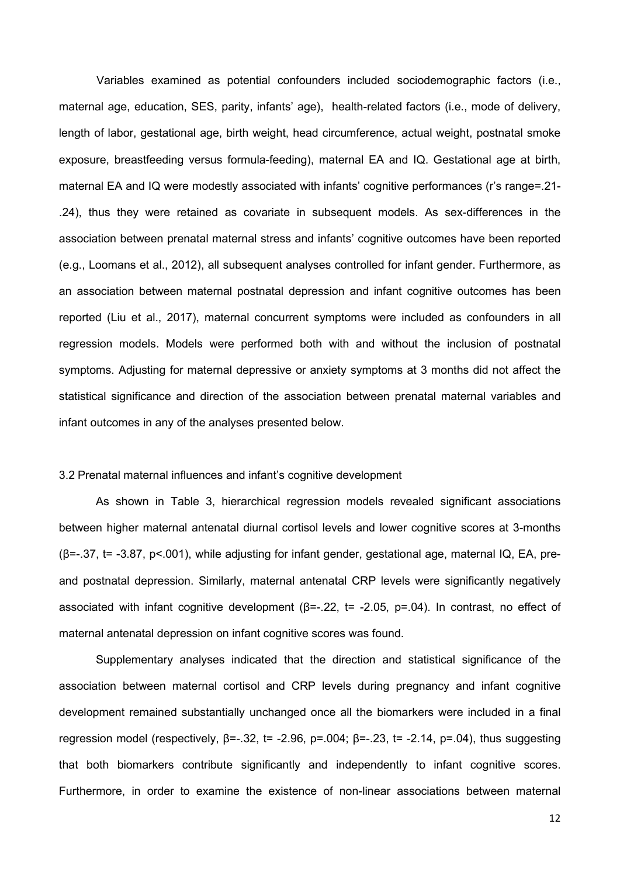Variables examined as potential confounders included sociodemographic factors (i.e., maternal age, education, SES, parity, infants' age), health-related factors (i.e., mode of delivery, length of labor, gestational age, birth weight, head circumference, actual weight, postnatal smoke exposure, breastfeeding versus formula-feeding), maternal EA and IQ. Gestational age at birth, maternal EA and IQ were modestly associated with infants' cognitive performances (r's range=.21- .24), thus they were retained as covariate in subsequent models. As sex-differences in the association between prenatal maternal stress and infants' cognitive outcomes have been reported (e.g., Loomans et al., 2012), all subsequent analyses controlled for infant gender. Furthermore, as an association between maternal postnatal depression and infant cognitive outcomes has been reported (Liu et al., 2017), maternal concurrent symptoms were included as confounders in all regression models. Models were performed both with and without the inclusion of postnatal symptoms. Adjusting for maternal depressive or anxiety symptoms at 3 months did not affect the statistical significance and direction of the association between prenatal maternal variables and infant outcomes in any of the analyses presented below.

#### 3.2 Prenatal maternal influences and infant's cognitive development

As shown in Table 3, hierarchical regression models revealed significant associations between higher maternal antenatal diurnal cortisol levels and lower cognitive scores at 3-months (β=-.37, t= -3.87, p<.001), while adjusting for infant gender, gestational age, maternal IQ, EA, preand postnatal depression. Similarly, maternal antenatal CRP levels were significantly negatively associated with infant cognitive development ( $β = -22$ ,  $t = -2.05$ ,  $p = 04$ ). In contrast, no effect of maternal antenatal depression on infant cognitive scores was found.

Supplementary analyses indicated that the direction and statistical significance of the association between maternal cortisol and CRP levels during pregnancy and infant cognitive development remained substantially unchanged once all the biomarkers were included in a final regression model (respectively,  $β = -32$ ,  $t = -2.96$ ,  $p = .004$ ;  $β = -2.3$ ,  $t = -2.14$ ,  $p = .04$ ), thus suggesting that both biomarkers contribute significantly and independently to infant cognitive scores. Furthermore, in order to examine the existence of non-linear associations between maternal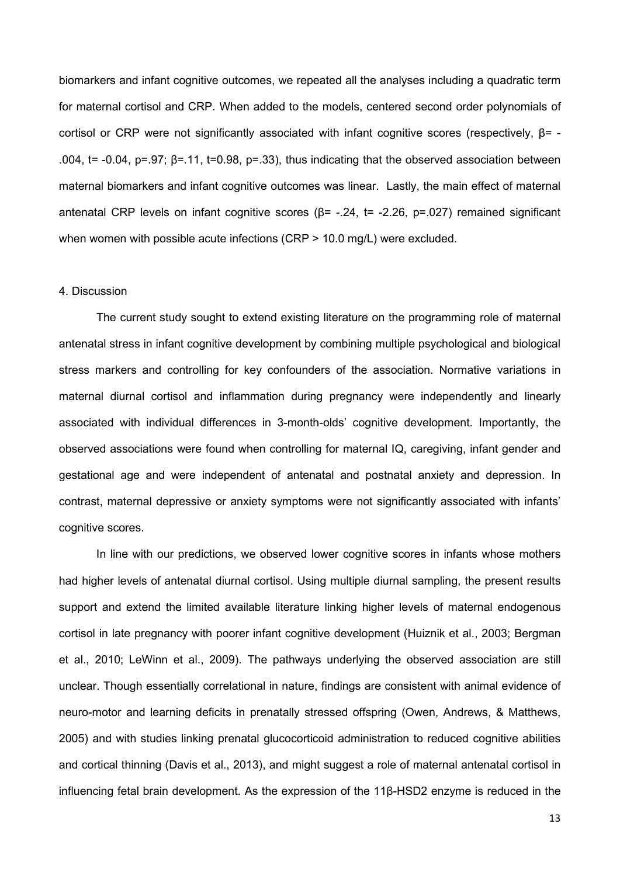biomarkers and infant cognitive outcomes, we repeated all the analyses including a quadratic term for maternal cortisol and CRP. When added to the models, centered second order polynomials of cortisol or CRP were not significantly associated with infant cognitive scores (respectively, β= - .004,  $t = -0.04$ ,  $p = 0.97$ ;  $β = 0.11$ ,  $t = 0.98$ ,  $p = 0.33$ ), thus indicating that the observed association between maternal biomarkers and infant cognitive outcomes was linear. Lastly, the main effect of maternal antenatal CRP levels on infant cognitive scores (β= -.24, t= -2.26, p=.027) remained significant when women with possible acute infections (CRP > 10.0 mg/L) were excluded.

## 4. Discussion

The current study sought to extend existing literature on the programming role of maternal antenatal stress in infant cognitive development by combining multiple psychological and biological stress markers and controlling for key confounders of the association. Normative variations in maternal diurnal cortisol and inflammation during pregnancy were independently and linearly associated with individual differences in 3-month-olds' cognitive development. Importantly, the observed associations were found when controlling for maternal IQ, caregiving, infant gender and gestational age and were independent of antenatal and postnatal anxiety and depression. In contrast, maternal depressive or anxiety symptoms were not significantly associated with infants' cognitive scores.

In line with our predictions, we observed lower cognitive scores in infants whose mothers had higher levels of antenatal diurnal cortisol. Using multiple diurnal sampling, the present results support and extend the limited available literature linking higher levels of maternal endogenous cortisol in late pregnancy with poorer infant cognitive development (Huiznik et al., 2003; Bergman et al., 2010; LeWinn et al., 2009). The pathways underlying the observed association are still unclear. Though essentially correlational in nature, findings are consistent with animal evidence of neuro-motor and learning deficits in prenatally stressed offspring (Owen, Andrews, & Matthews, 2005) and with studies linking prenatal glucocorticoid administration to reduced cognitive abilities and cortical thinning (Davis et al., 2013), and might suggest a role of maternal antenatal cortisol in influencing fetal brain development. As the expression of the 11β-HSD2 enzyme is reduced in the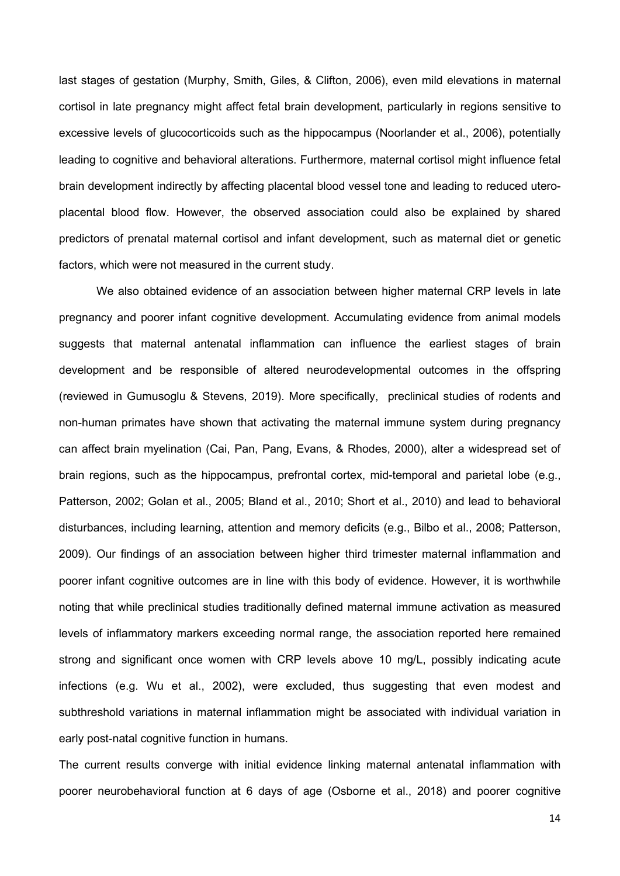last stages of gestation (Murphy, Smith, Giles, & Clifton, 2006), even mild elevations in maternal cortisol in late pregnancy might affect fetal brain development, particularly in regions sensitive to excessive levels of glucocorticoids such as the hippocampus (Noorlander et al., 2006), potentially leading to cognitive and behavioral alterations. Furthermore, maternal cortisol might influence fetal brain development indirectly by affecting placental blood vessel tone and leading to reduced uteroplacental blood flow. However, the observed association could also be explained by shared predictors of prenatal maternal cortisol and infant development, such as maternal diet or genetic factors, which were not measured in the current study.

We also obtained evidence of an association between higher maternal CRP levels in late pregnancy and poorer infant cognitive development. Accumulating evidence from animal models suggests that maternal antenatal inflammation can influence the earliest stages of brain development and be responsible of altered neurodevelopmental outcomes in the offspring (reviewed in Gumusoglu & Stevens, 2019). More specifically, preclinical studies of rodents and non-human primates have shown that activating the maternal immune system during pregnancy can affect brain myelination (Cai, Pan, Pang, Evans, & Rhodes, 2000), alter a widespread set of brain regions, such as the hippocampus, prefrontal cortex, mid-temporal and parietal lobe (e.g., Patterson, 2002; Golan et al., 2005; Bland et al., 2010; Short et al., 2010) and lead to behavioral disturbances, including learning, attention and memory deficits (e.g., Bilbo et al., 2008; Patterson, 2009). Our findings of an association between higher third trimester maternal inflammation and poorer infant cognitive outcomes are in line with this body of evidence. However, it is worthwhile noting that while preclinical studies traditionally defined maternal immune activation as measured levels of inflammatory markers exceeding normal range, the association reported here remained strong and significant once women with CRP levels above 10 mg/L, possibly indicating acute infections (e.g. Wu et al., 2002), were excluded, thus suggesting that even modest and subthreshold variations in maternal inflammation might be associated with individual variation in early post-natal cognitive function in humans.

The current results converge with initial evidence linking maternal antenatal inflammation with poorer neurobehavioral function at 6 days of age (Osborne et al., 2018) and poorer cognitive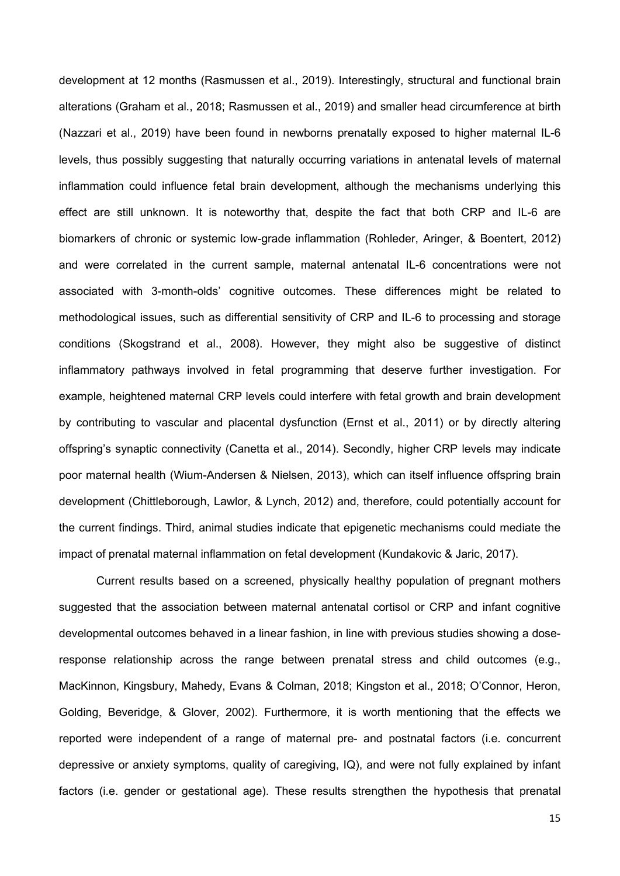development at 12 months (Rasmussen et al., 2019). Interestingly, structural and functional brain alterations (Graham et al., 2018; Rasmussen et al., 2019) and smaller head circumference at birth (Nazzari et al., 2019) have been found in newborns prenatally exposed to higher maternal IL-6 levels, thus possibly suggesting that naturally occurring variations in antenatal levels of maternal inflammation could influence fetal brain development, although the mechanisms underlying this effect are still unknown. It is noteworthy that, despite the fact that both CRP and IL-6 are biomarkers of chronic or systemic low-grade inflammation (Rohleder, Aringer, & Boentert, 2012) and were correlated in the current sample, maternal antenatal IL-6 concentrations were not associated with 3-month-olds' cognitive outcomes. These differences might be related to methodological issues, such as differential sensitivity of CRP and IL-6 to processing and storage conditions (Skogstrand et al., 2008). However, they might also be suggestive of distinct inflammatory pathways involved in fetal programming that deserve further investigation. For example, heightened maternal CRP levels could interfere with fetal growth and brain development by contributing to vascular and placental dysfunction (Ernst et al., 2011) or by directly altering offspring's synaptic connectivity (Canetta et al., 2014). Secondly, higher CRP levels may indicate poor maternal health (Wium-Andersen & Nielsen, 2013), which can itself influence offspring brain development (Chittleborough, Lawlor, & Lynch, 2012) and, therefore, could potentially account for the current findings. Third, animal studies indicate that epigenetic mechanisms could mediate the impact of prenatal maternal inflammation on fetal development (Kundakovic & Jaric, 2017).

Current results based on a screened, physically healthy population of pregnant mothers suggested that the association between maternal antenatal cortisol or CRP and infant cognitive developmental outcomes behaved in a linear fashion, in line with previous studies showing a doseresponse relationship across the range between prenatal stress and child outcomes (e.g., MacKinnon, Kingsbury, Mahedy, Evans & Colman, 2018; Kingston et al., 2018; O'Connor, Heron, Golding, Beveridge, & Glover, 2002). Furthermore, it is worth mentioning that the effects we reported were independent of a range of maternal pre- and postnatal factors (i.e. concurrent depressive or anxiety symptoms, quality of caregiving, IQ), and were not fully explained by infant factors (i.e. gender or gestational age). These results strengthen the hypothesis that prenatal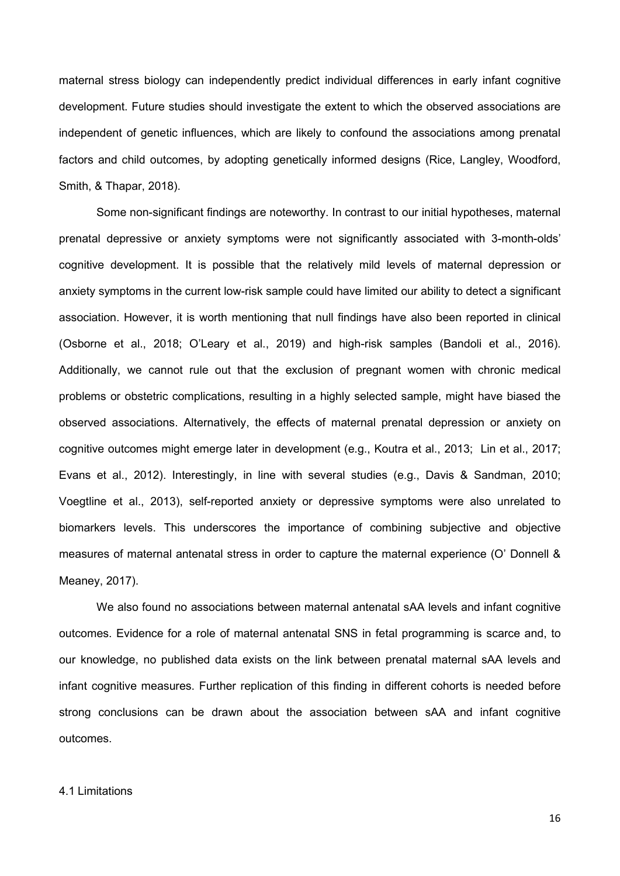maternal stress biology can independently predict individual differences in early infant cognitive development. Future studies should investigate the extent to which the observed associations are independent of genetic influences, which are likely to confound the associations among prenatal factors and child outcomes, by adopting genetically informed designs (Rice, Langley, Woodford, Smith, & Thapar, 2018).

Some non-significant findings are noteworthy. In contrast to our initial hypotheses, maternal prenatal depressive or anxiety symptoms were not significantly associated with 3-month-olds' cognitive development. It is possible that the relatively mild levels of maternal depression or anxiety symptoms in the current low-risk sample could have limited our ability to detect a significant association. However, it is worth mentioning that null findings have also been reported in clinical (Osborne et al., 2018; O'Leary et al., 2019) and high-risk samples (Bandoli et al., 2016). Additionally, we cannot rule out that the exclusion of pregnant women with chronic medical problems or obstetric complications, resulting in a highly selected sample, might have biased the observed associations. Alternatively, the effects of maternal prenatal depression or anxiety on cognitive outcomes might emerge later in development (e.g., Koutra et al., 2013; Lin et al., 2017; Evans et al., 2012). Interestingly, in line with several studies (e.g., Davis & Sandman, 2010; Voegtline et al., 2013), self-reported anxiety or depressive symptoms were also unrelated to biomarkers levels. This underscores the importance of combining subjective and objective measures of maternal antenatal stress in order to capture the maternal experience (O' Donnell & Meaney, 2017).

We also found no associations between maternal antenatal sAA levels and infant cognitive outcomes. Evidence for a role of maternal antenatal SNS in fetal programming is scarce and, to our knowledge, no published data exists on the link between prenatal maternal sAA levels and infant cognitive measures. Further replication of this finding in different cohorts is needed before strong conclusions can be drawn about the association between sAA and infant cognitive outcomes.

## 4.1 Limitations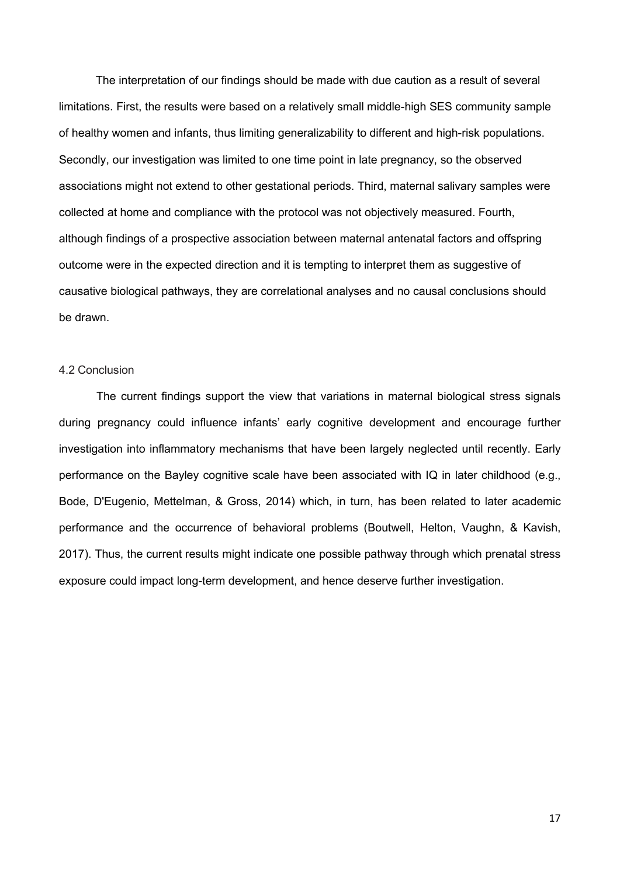The interpretation of our findings should be made with due caution as a result of several limitations. First, the results were based on a relatively small middle-high SES community sample of healthy women and infants, thus limiting generalizability to different and high-risk populations. Secondly, our investigation was limited to one time point in late pregnancy, so the observed associations might not extend to other gestational periods. Third, maternal salivary samples were collected at home and compliance with the protocol was not objectively measured. Fourth, although findings of a prospective association between maternal antenatal factors and offspring outcome were in the expected direction and it is tempting to interpret them as suggestive of causative biological pathways, they are correlational analyses and no causal conclusions should be drawn.

# 4.2 Conclusion

The current findings support the view that variations in maternal biological stress signals during pregnancy could influence infants' early cognitive development and encourage further investigation into inflammatory mechanisms that have been largely neglected until recently. Early performance on the Bayley cognitive scale have been associated with IQ in later childhood (e.g., Bode, D'Eugenio, Mettelman, & Gross, 2014) which, in turn, has been related to later academic performance and the occurrence of behavioral problems (Boutwell, Helton, Vaughn, & Kavish, 2017). Thus, the current results might indicate one possible pathway through which prenatal stress exposure could impact long-term development, and hence deserve further investigation.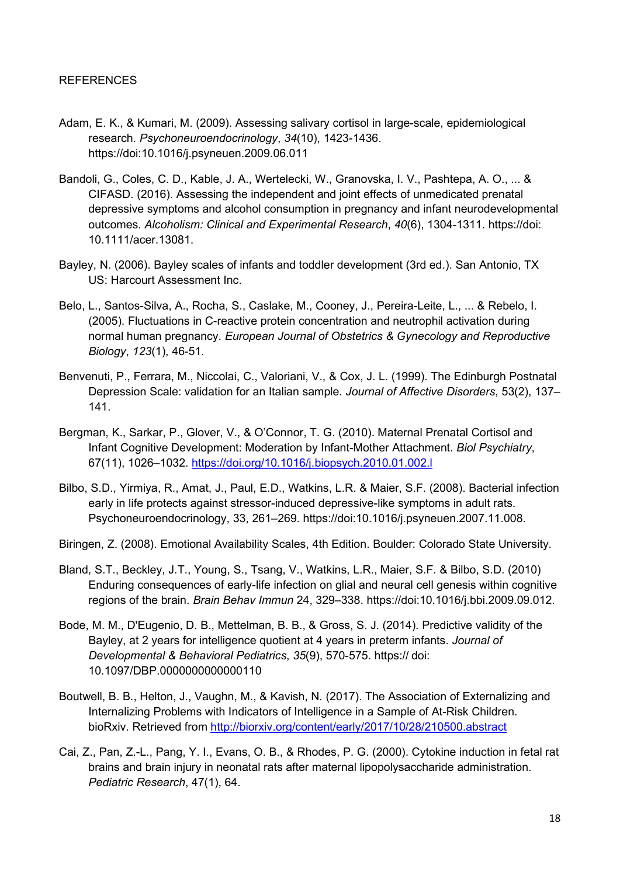- Adam, E. K., & Kumari, M. (2009). Assessing salivary cortisol in large-scale, epidemiological research. *Psychoneuroendocrinology*, *34*(10), 1423-1436. https://doi:10.1016/j.psyneuen.2009.06.011
- Bandoli, G., Coles, C. D., Kable, J. A., Wertelecki, W., Granovska, I. V., Pashtepa, A. O., ... & CIFASD. (2016). Assessing the independent and joint effects of unmedicated prenatal depressive symptoms and alcohol consumption in pregnancy and infant neurodevelopmental outcomes. *Alcoholism: Clinical and Experimental Research*, *40*(6), 1304-1311. https://doi: 10.1111/acer.13081.
- Bayley, N. (2006). Bayley scales of infants and toddler development (3rd ed.). San Antonio, TX US: Harcourt Assessment Inc.
- Belo, L., Santos-Silva, A., Rocha, S., Caslake, M., Cooney, J., Pereira-Leite, L., ... & Rebelo, I. (2005). Fluctuations in C-reactive protein concentration and neutrophil activation during normal human pregnancy. *European Journal of Obstetrics & Gynecology and Reproductive Biology*, *123*(1), 46-51.
- Benvenuti, P., Ferrara, M., Niccolai, C., Valoriani, V., & Cox, J. L. (1999). The Edinburgh Postnatal Depression Scale: validation for an Italian sample*. Journal of Affective Disorders*, 53(2), 137– 141.
- Bergman, K., Sarkar, P., Glover, V., & O'Connor, T. G. (2010). Maternal Prenatal Cortisol and Infant Cognitive Development: Moderation by Infant-Mother Attachment. *Biol Psychiatry*, 67(11), 1026–1032. https://doi.org/10.1016/j.biopsych.2010.01.002.l
- Bilbo, S.D., Yirmiya, R., Amat, J., Paul, E.D., Watkins, L.R. & Maier, S.F. (2008). Bacterial infection early in life protects against stressor-induced depressive-like symptoms in adult rats. Psychoneuroendocrinology, 33, 261–269. https://doi:10.1016/j.psyneuen.2007.11.008.
- Biringen, Z. (2008). Emotional Availability Scales, 4th Edition. Boulder: Colorado State University.
- Bland, S.T., Beckley, J.T., Young, S., Tsang, V., Watkins, L.R., Maier, S.F. & Bilbo, S.D. (2010) Enduring consequences of early-life infection on glial and neural cell genesis within cognitive regions of the brain. *Brain Behav Immun* 24, 329–338. https://doi:10.1016/j.bbi.2009.09.012.
- Bode, M. M., D'Eugenio, D. B., Mettelman, B. B., & Gross, S. J. (2014). Predictive validity of the Bayley, at 2 years for intelligence quotient at 4 years in preterm infants. *Journal of Developmental & Behavioral Pediatrics*, *35*(9), 570-575. https:// doi: 10.1097/DBP.0000000000000110
- Boutwell, B. B., Helton, J., Vaughn, M., & Kavish, N. (2017). The Association of Externalizing and Internalizing Problems with Indicators of Intelligence in a Sample of At-Risk Children. bioRxiv. Retrieved from http://biorxiv.org/content/early/2017/10/28/210500.abstract
- Cai, Z., Pan, Z.-L., Pang, Y. I., Evans, O. B., & Rhodes, P. G. (2000). Cytokine induction in fetal rat brains and brain injury in neonatal rats after maternal lipopolysaccharide administration. *Pediatric Research*, 47(1), 64.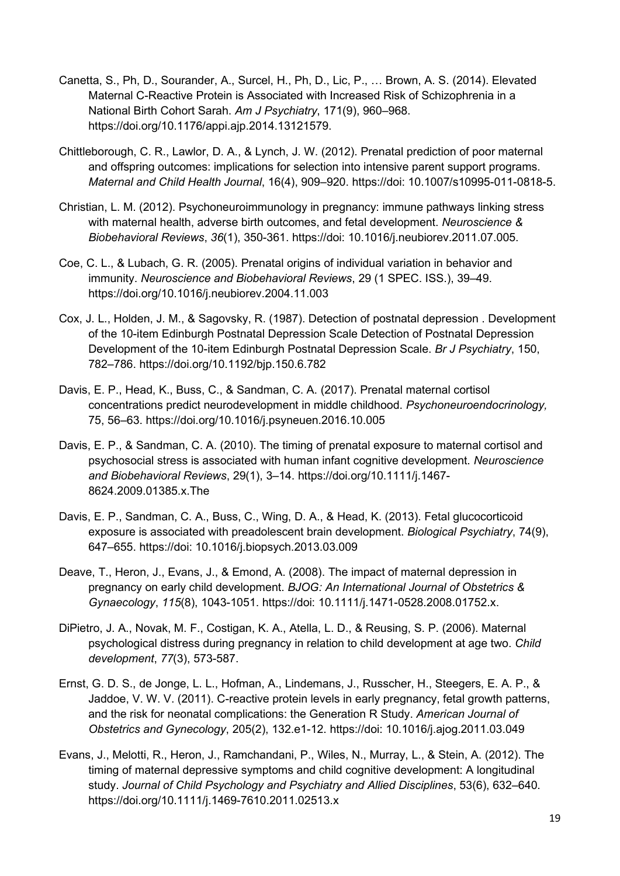- Canetta, S., Ph, D., Sourander, A., Surcel, H., Ph, D., Lic, P., … Brown, A. S. (2014). Elevated Maternal C-Reactive Protein is Associated with Increased Risk of Schizophrenia in a National Birth Cohort Sarah. *Am J Psychiatry*, 171(9), 960–968. https://doi.org/10.1176/appi.ajp.2014.13121579.
- Chittleborough, C. R., Lawlor, D. A., & Lynch, J. W. (2012). Prenatal prediction of poor maternal and offspring outcomes: implications for selection into intensive parent support programs. *Maternal and Child Health Journal*, 16(4), 909–920. https://doi: 10.1007/s10995-011-0818-5.
- Christian, L. M. (2012). Psychoneuroimmunology in pregnancy: immune pathways linking stress with maternal health, adverse birth outcomes, and fetal development. *Neuroscience & Biobehavioral Reviews*, *36*(1), 350-361. https://doi: 10.1016/j.neubiorev.2011.07.005.
- Coe, C. L., & Lubach, G. R. (2005). Prenatal origins of individual variation in behavior and immunity. *Neuroscience and Biobehavioral Reviews*, 29 (1 SPEC. ISS.), 39–49. https://doi.org/10.1016/j.neubiorev.2004.11.003
- Cox, J. L., Holden, J. M., & Sagovsky, R. (1987). Detection of postnatal depression . Development of the 10-item Edinburgh Postnatal Depression Scale Detection of Postnatal Depression Development of the 10-item Edinburgh Postnatal Depression Scale. *Br J Psychiatry*, 150, 782–786. https://doi.org/10.1192/bjp.150.6.782
- Davis, E. P., Head, K., Buss, C., & Sandman, C. A. (2017). Prenatal maternal cortisol concentrations predict neurodevelopment in middle childhood. *Psychoneuroendocrinology,* 75, 56–63. https://doi.org/10.1016/j.psyneuen.2016.10.005
- Davis, E. P., & Sandman, C. A. (2010). The timing of prenatal exposure to maternal cortisol and psychosocial stress is associated with human infant cognitive development. *Neuroscience and Biobehavioral Reviews*, 29(1), 3–14. https://doi.org/10.1111/j.1467- 8624.2009.01385.x.The
- Davis, E. P., Sandman, C. A., Buss, C., Wing, D. A., & Head, K. (2013). Fetal glucocorticoid exposure is associated with preadolescent brain development. *Biological Psychiatry*, 74(9), 647–655. https://doi: 10.1016/j.biopsych.2013.03.009
- Deave, T., Heron, J., Evans, J., & Emond, A. (2008). The impact of maternal depression in pregnancy on early child development. *BJOG: An International Journal of Obstetrics & Gynaecology*, *115*(8), 1043-1051. https://doi: 10.1111/j.1471-0528.2008.01752.x.
- DiPietro, J. A., Novak, M. F., Costigan, K. A., Atella, L. D., & Reusing, S. P. (2006). Maternal psychological distress during pregnancy in relation to child development at age two. *Child development*, *77*(3), 573-587.
- Ernst, G. D. S., de Jonge, L. L., Hofman, A., Lindemans, J., Russcher, H., Steegers, E. A. P., & Jaddoe, V. W. V. (2011). C-reactive protein levels in early pregnancy, fetal growth patterns, and the risk for neonatal complications: the Generation R Study. *American Journal of Obstetrics and Gynecology*, 205(2), 132.e1-12. https://doi: 10.1016/j.ajog.2011.03.049
- Evans, J., Melotti, R., Heron, J., Ramchandani, P., Wiles, N., Murray, L., & Stein, A. (2012). The timing of maternal depressive symptoms and child cognitive development: A longitudinal study. *Journal of Child Psychology and Psychiatry and Allied Disciplines*, 53(6), 632–640. https://doi.org/10.1111/j.1469-7610.2011.02513.x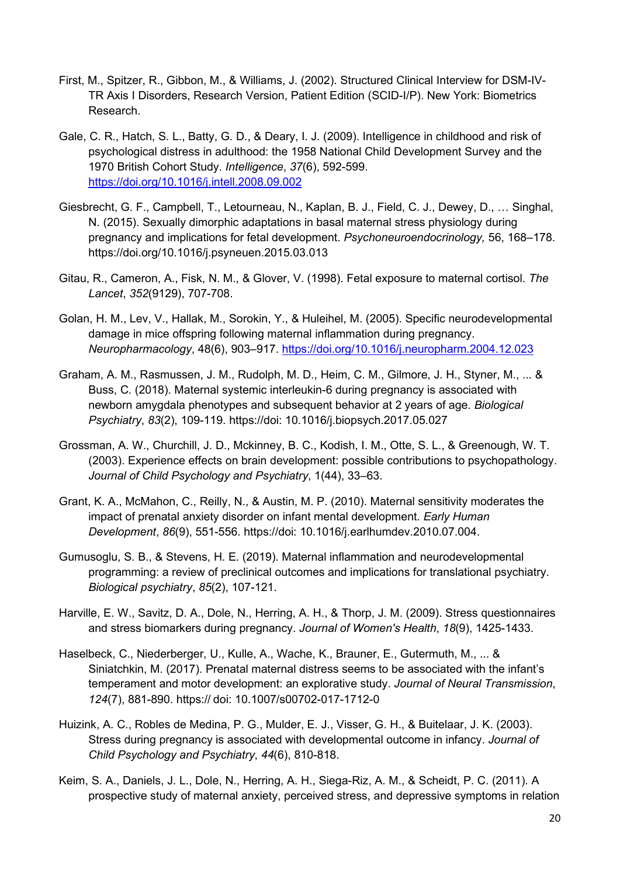- First, M., Spitzer, R., Gibbon, M., & Williams, J. (2002). Structured Clinical Interview for DSM-IV-TR Axis I Disorders, Research Version, Patient Edition (SCID-I/P). New York: Biometrics Research.
- Gale, C. R., Hatch, S. L., Batty, G. D., & Deary, I. J. (2009). Intelligence in childhood and risk of psychological distress in adulthood: the 1958 National Child Development Survey and the 1970 British Cohort Study. *Intelligence*, *37*(6), 592-599. https://doi.org/10.1016/j.intell.2008.09.002
- Giesbrecht, G. F., Campbell, T., Letourneau, N., Kaplan, B. J., Field, C. J., Dewey, D., … Singhal, N. (2015). Sexually dimorphic adaptations in basal maternal stress physiology during pregnancy and implications for fetal development. *Psychoneuroendocrinology,* 56, 168–178. https://doi.org/10.1016/j.psyneuen.2015.03.013
- Gitau, R., Cameron, A., Fisk, N. M., & Glover, V. (1998). Fetal exposure to maternal cortisol. *The Lancet*, *352*(9129), 707-708.
- Golan, H. M., Lev, V., Hallak, M., Sorokin, Y., & Huleihel, M. (2005). Specific neurodevelopmental damage in mice offspring following maternal inflammation during pregnancy. *Neuropharmacology*, 48(6), 903–917. https://doi.org/10.1016/j.neuropharm.2004.12.023
- Graham, A. M., Rasmussen, J. M., Rudolph, M. D., Heim, C. M., Gilmore, J. H., Styner, M., ... & Buss, C. (2018). Maternal systemic interleukin-6 during pregnancy is associated with newborn amygdala phenotypes and subsequent behavior at 2 years of age. *Biological Psychiatry*, *83*(2), 109-119. https://doi: 10.1016/j.biopsych.2017.05.027
- Grossman, A. W., Churchill, J. D., Mckinney, B. C., Kodish, I. M., Otte, S. L., & Greenough, W. T. (2003). Experience effects on brain development: possible contributions to psychopathology. *Journal of Child Psychology and Psychiatry*, 1(44), 33–63.
- Grant, K. A., McMahon, C., Reilly, N., & Austin, M. P. (2010). Maternal sensitivity moderates the impact of prenatal anxiety disorder on infant mental development. *Early Human Development*, *86*(9), 551-556. https://doi: 10.1016/j.earlhumdev.2010.07.004.
- Gumusoglu, S. B., & Stevens, H. E. (2019). Maternal inflammation and neurodevelopmental programming: a review of preclinical outcomes and implications for translational psychiatry. *Biological psychiatry*, *85*(2), 107-121.
- Harville, E. W., Savitz, D. A., Dole, N., Herring, A. H., & Thorp, J. M. (2009). Stress questionnaires and stress biomarkers during pregnancy. *Journal of Women's Health*, *18*(9), 1425-1433.
- Haselbeck, C., Niederberger, U., Kulle, A., Wache, K., Brauner, E., Gutermuth, M., ... & Siniatchkin, M. (2017). Prenatal maternal distress seems to be associated with the infant's temperament and motor development: an explorative study. *Journal of Neural Transmission*, *124*(7), 881-890. https:// doi: 10.1007/s00702-017-1712-0
- Huizink, A. C., Robles de Medina, P. G., Mulder, E. J., Visser, G. H., & Buitelaar, J. K. (2003). Stress during pregnancy is associated with developmental outcome in infancy. *Journal of Child Psychology and Psychiatry*, *44*(6), 810-818.
- Keim, S. A., Daniels, J. L., Dole, N., Herring, A. H., Siega-Riz, A. M., & Scheidt, P. C. (2011). A prospective study of maternal anxiety, perceived stress, and depressive symptoms in relation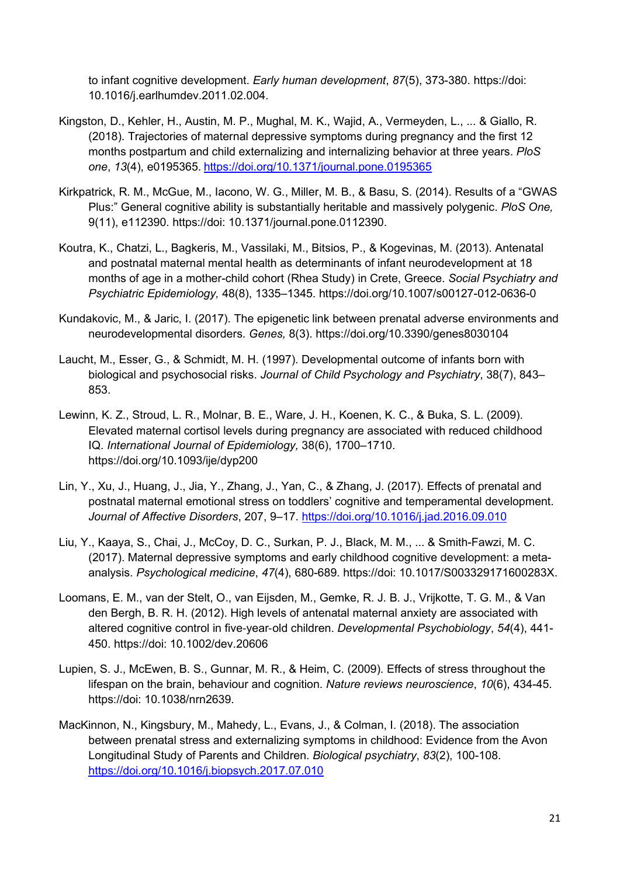to infant cognitive development. *Early human development*, *87*(5), 373-380. https://doi: 10.1016/j.earlhumdev.2011.02.004.

- Kingston, D., Kehler, H., Austin, M. P., Mughal, M. K., Wajid, A., Vermeyden, L., ... & Giallo, R. (2018). Trajectories of maternal depressive symptoms during pregnancy and the first 12 months postpartum and child externalizing and internalizing behavior at three years. *PloS one*, *13*(4), e0195365. https://doi.org/10.1371/journal.pone.0195365
- Kirkpatrick, R. M., McGue, M., Iacono, W. G., Miller, M. B., & Basu, S. (2014). Results of a "GWAS Plus:" General cognitive ability is substantially heritable and massively polygenic. *PloS One,* 9(11), e112390. https://doi: 10.1371/journal.pone.0112390.
- Koutra, K., Chatzi, L., Bagkeris, M., Vassilaki, M., Bitsios, P., & Kogevinas, M. (2013). Antenatal and postnatal maternal mental health as determinants of infant neurodevelopment at 18 months of age in a mother-child cohort (Rhea Study) in Crete, Greece. *Social Psychiatry and Psychiatric Epidemiology,* 48(8), 1335–1345. https://doi.org/10.1007/s00127-012-0636-0
- Kundakovic, M., & Jaric, I. (2017). The epigenetic link between prenatal adverse environments and neurodevelopmental disorders. *Genes,* 8(3). https://doi.org/10.3390/genes8030104
- Laucht, M., Esser, G., & Schmidt, M. H. (1997). Developmental outcome of infants born with biological and psychosocial risks. *Journal of Child Psychology and Psychiatry*, 38(7), 843– 853.
- Lewinn, K. Z., Stroud, L. R., Molnar, B. E., Ware, J. H., Koenen, K. C., & Buka, S. L. (2009). Elevated maternal cortisol levels during pregnancy are associated with reduced childhood IQ. *International Journal of Epidemiology,* 38(6), 1700–1710. https://doi.org/10.1093/ije/dyp200
- Lin, Y., Xu, J., Huang, J., Jia, Y., Zhang, J., Yan, C., & Zhang, J. (2017). Effects of prenatal and postnatal maternal emotional stress on toddlers' cognitive and temperamental development. *Journal of Affective Disorders*, 207, 9–17. https://doi.org/10.1016/j.jad.2016.09.010
- Liu, Y., Kaaya, S., Chai, J., McCoy, D. C., Surkan, P. J., Black, M. M., ... & Smith-Fawzi, M. C. (2017). Maternal depressive symptoms and early childhood cognitive development: a metaanalysis. *Psychological medicine*, *47*(4), 680-689. https://doi: 10.1017/S003329171600283X.
- Loomans, E. M., van der Stelt, O., van Eijsden, M., Gemke, R. J. B. J., Vrijkotte, T. G. M., & Van den Bergh, B. R. H. (2012). High levels of antenatal maternal anxiety are associated with altered cognitive control in five‐year‐old children. *Developmental Psychobiology*, *54*(4), 441- 450. https://doi: 10.1002/dev.20606
- Lupien, S. J., McEwen, B. S., Gunnar, M. R., & Heim, C. (2009). Effects of stress throughout the lifespan on the brain, behaviour and cognition. *Nature reviews neuroscience*, *10*(6), 434-45. https://doi: 10.1038/nrn2639.
- MacKinnon, N., Kingsbury, M., Mahedy, L., Evans, J., & Colman, I. (2018). The association between prenatal stress and externalizing symptoms in childhood: Evidence from the Avon Longitudinal Study of Parents and Children. *Biological psychiatry*, *83*(2), 100-108. https://doi.org/10.1016/j.biopsych.2017.07.010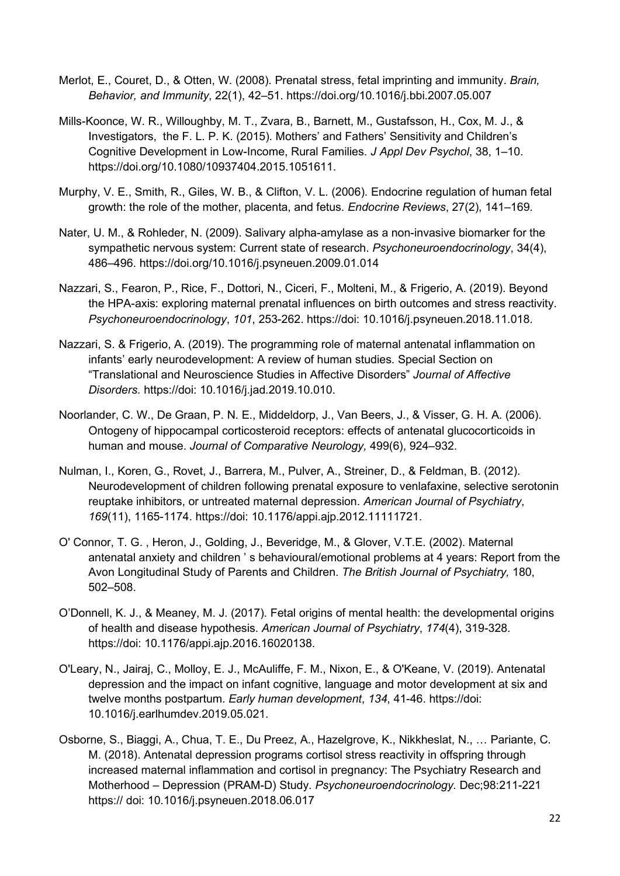- Merlot, E., Couret, D., & Otten, W. (2008). Prenatal stress, fetal imprinting and immunity. *Brain, Behavior, and Immunity*, 22(1), 42–51. https://doi.org/10.1016/j.bbi.2007.05.007
- Mills-Koonce, W. R., Willoughby, M. T., Zvara, B., Barnett, M., Gustafsson, H., Cox, M. J., & Investigators, the F. L. P. K. (2015). Mothers' and Fathers' Sensitivity and Children's Cognitive Development in Low-Income, Rural Families. *J Appl Dev Psychol*, 38, 1–10. https://doi.org/10.1080/10937404.2015.1051611.
- Murphy, V. E., Smith, R., Giles, W. B., & Clifton, V. L. (2006). Endocrine regulation of human fetal growth: the role of the mother, placenta, and fetus. *Endocrine Reviews*, 27(2), 141–169.
- Nater, U. M., & Rohleder, N. (2009). Salivary alpha-amylase as a non-invasive biomarker for the sympathetic nervous system: Current state of research. *Psychoneuroendocrinology*, 34(4), 486–496. https://doi.org/10.1016/j.psyneuen.2009.01.014
- Nazzari, S., Fearon, P., Rice, F., Dottori, N., Ciceri, F., Molteni, M., & Frigerio, A. (2019). Beyond the HPA-axis: exploring maternal prenatal influences on birth outcomes and stress reactivity. *Psychoneuroendocrinology*, *101*, 253-262. https://doi: 10.1016/j.psyneuen.2018.11.018.
- Nazzari, S. & Frigerio, A. (2019). The programming role of maternal antenatal inflammation on infants' early neurodevelopment: A review of human studies. Special Section on "Translational and Neuroscience Studies in Affective Disorders" *Journal of Affective Disorders.* https://doi: 10.1016/j.jad.2019.10.010.
- Noorlander, C. W., De Graan, P. N. E., Middeldorp, J., Van Beers, J., & Visser, G. H. A. (2006). Ontogeny of hippocampal corticosteroid receptors: effects of antenatal glucocorticoids in human and mouse. *Journal of Comparative Neurology,* 499(6), 924–932.
- Nulman, I., Koren, G., Rovet, J., Barrera, M., Pulver, A., Streiner, D., & Feldman, B. (2012). Neurodevelopment of children following prenatal exposure to venlafaxine, selective serotonin reuptake inhibitors, or untreated maternal depression. *American Journal of Psychiatry*, *169*(11), 1165-1174. https://doi: 10.1176/appi.ajp.2012.11111721.
- O' Connor, T. G. , Heron, J., Golding, J., Beveridge, M., & Glover, V.T.E. (2002). Maternal antenatal anxiety and children ' s behavioural/emotional problems at 4 years: Report from the Avon Longitudinal Study of Parents and Children. *The British Journal of Psychiatry,* 180, 502–508.
- O'Donnell, K. J., & Meaney, M. J. (2017). Fetal origins of mental health: the developmental origins of health and disease hypothesis. *American Journal of Psychiatry*, *174*(4), 319-328. https://doi: 10.1176/appi.ajp.2016.16020138.
- O'Leary, N., Jairaj, C., Molloy, E. J., McAuliffe, F. M., Nixon, E., & O'Keane, V. (2019). Antenatal depression and the impact on infant cognitive, language and motor development at six and twelve months postpartum. *Early human development*, *134*, 41-46. https://doi: 10.1016/j.earlhumdev.2019.05.021.
- Osborne, S., Biaggi, A., Chua, T. E., Du Preez, A., Hazelgrove, K., Nikkheslat, N., … Pariante, C. M. (2018). Antenatal depression programs cortisol stress reactivity in offspring through increased maternal inflammation and cortisol in pregnancy: The Psychiatry Research and Motherhood – Depression (PRAM-D) Study. *Psychoneuroendocrinology.* Dec;98:211-221 https:// doi: 10.1016/j.psyneuen.2018.06.017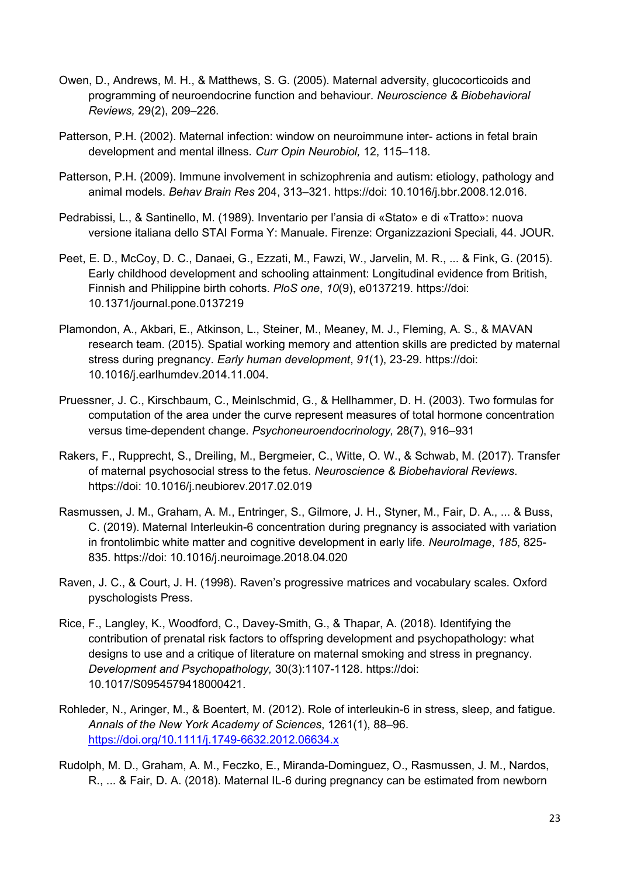- Owen, D., Andrews, M. H., & Matthews, S. G. (2005). Maternal adversity, glucocorticoids and programming of neuroendocrine function and behaviour. *Neuroscience & Biobehavioral Reviews,* 29(2), 209–226.
- Patterson, P.H. (2002). Maternal infection: window on neuroimmune inter- actions in fetal brain development and mental illness*. Curr Opin Neurobiol,* 12, 115–118.
- Patterson, P.H. (2009). Immune involvement in schizophrenia and autism: etiology, pathology and animal models. *Behav Brain Res* 204, 313–321. https://doi: 10.1016/j.bbr.2008.12.016.
- Pedrabissi, L., & Santinello, M. (1989). Inventario per l'ansia di «Stato» e di «Tratto»: nuova versione italiana dello STAI Forma Y: Manuale. Firenze: Organizzazioni Speciali, 44. JOUR.
- Peet, E. D., McCoy, D. C., Danaei, G., Ezzati, M., Fawzi, W., Jarvelin, M. R., ... & Fink, G. (2015). Early childhood development and schooling attainment: Longitudinal evidence from British, Finnish and Philippine birth cohorts. *PloS one*, *10*(9), e0137219. https://doi: 10.1371/journal.pone.0137219
- Plamondon, A., Akbari, E., Atkinson, L., Steiner, M., Meaney, M. J., Fleming, A. S., & MAVAN research team. (2015). Spatial working memory and attention skills are predicted by maternal stress during pregnancy. *Early human development*, *91*(1), 23-29. https://doi: 10.1016/j.earlhumdev.2014.11.004.
- Pruessner, J. C., Kirschbaum, C., Meinlschmid, G., & Hellhammer, D. H. (2003). Two formulas for computation of the area under the curve represent measures of total hormone concentration versus time-dependent change. *Psychoneuroendocrinology,* 28(7), 916–931
- Rakers, F., Rupprecht, S., Dreiling, M., Bergmeier, C., Witte, O. W., & Schwab, M. (2017). Transfer of maternal psychosocial stress to the fetus. *Neuroscience & Biobehavioral Reviews*. https://doi: 10.1016/j.neubiorev.2017.02.019
- Rasmussen, J. M., Graham, A. M., Entringer, S., Gilmore, J. H., Styner, M., Fair, D. A., ... & Buss, C. (2019). Maternal Interleukin-6 concentration during pregnancy is associated with variation in frontolimbic white matter and cognitive development in early life. *NeuroImage*, *185*, 825- 835. https://doi: 10.1016/j.neuroimage.2018.04.020
- Raven, J. C., & Court, J. H. (1998). Raven's progressive matrices and vocabulary scales. Oxford pyschologists Press.
- Rice, F., Langley, K., Woodford, C., Davey-Smith, G., & Thapar, A. (2018). Identifying the contribution of prenatal risk factors to offspring development and psychopathology: what designs to use and a critique of literature on maternal smoking and stress in pregnancy. *Development and Psychopathology,* 30(3):1107-1128. https://doi: 10.1017/S0954579418000421.
- Rohleder, N., Aringer, M., & Boentert, M. (2012). Role of interleukin-6 in stress, sleep, and fatigue. *Annals of the New York Academy of Sciences*, 1261(1), 88–96. https://doi.org/10.1111/j.1749-6632.2012.06634.x
- Rudolph, M. D., Graham, A. M., Feczko, E., Miranda-Dominguez, O., Rasmussen, J. M., Nardos, R., ... & Fair, D. A. (2018). Maternal IL-6 during pregnancy can be estimated from newborn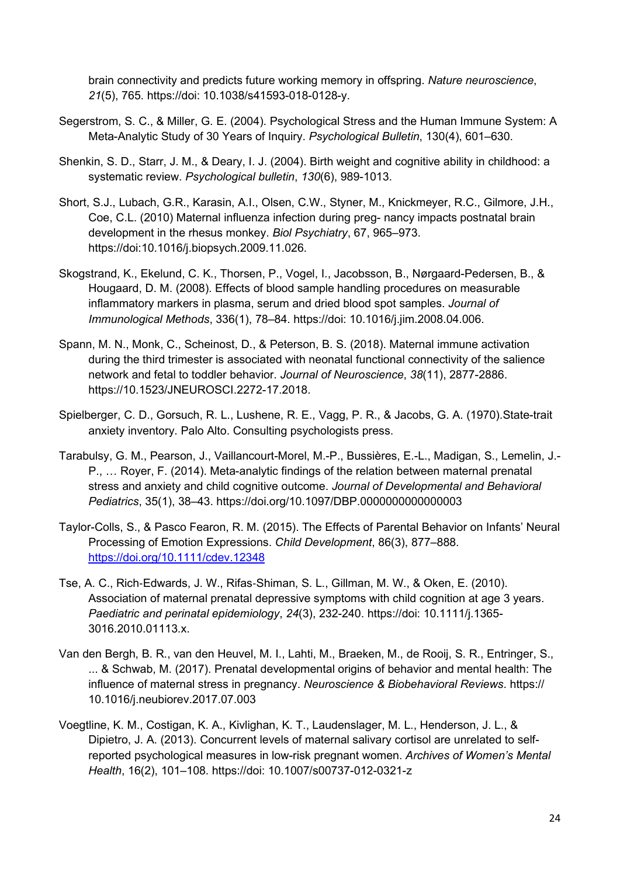brain connectivity and predicts future working memory in offspring. *Nature neuroscience*, *21*(5), 765. https://doi: 10.1038/s41593-018-0128-y.

- Segerstrom, S. C., & Miller, G. E. (2004). Psychological Stress and the Human Immune System: A Meta-Analytic Study of 30 Years of Inquiry. *Psychological Bulletin*, 130(4), 601–630.
- Shenkin, S. D., Starr, J. M., & Deary, I. J. (2004). Birth weight and cognitive ability in childhood: a systematic review. *Psychological bulletin*, *130*(6), 989-1013.
- Short, S.J., Lubach, G.R., Karasin, A.I., Olsen, C.W., Styner, M., Knickmeyer, R.C., Gilmore, J.H., Coe, C.L. (2010) Maternal influenza infection during preg- nancy impacts postnatal brain development in the rhesus monkey. *Biol Psychiatry*, 67, 965–973. https://doi:10.1016/j.biopsych.2009.11.026.
- Skogstrand, K., Ekelund, C. K., Thorsen, P., Vogel, I., Jacobsson, B., Nørgaard-Pedersen, B., & Hougaard, D. M. (2008). Effects of blood sample handling procedures on measurable inflammatory markers in plasma, serum and dried blood spot samples. *Journal of Immunological Methods*, 336(1), 78–84. https://doi: 10.1016/j.jim.2008.04.006.
- Spann, M. N., Monk, C., Scheinost, D., & Peterson, B. S. (2018). Maternal immune activation during the third trimester is associated with neonatal functional connectivity of the salience network and fetal to toddler behavior. *Journal of Neuroscience*, *38*(11), 2877-2886. https://10.1523/JNEUROSCI.2272-17.2018.
- Spielberger, C. D., Gorsuch, R. L., Lushene, R. E., Vagg, P. R., & Jacobs, G. A. (1970).State-trait anxiety inventory. Palo Alto. Consulting psychologists press.
- Tarabulsy, G. M., Pearson, J., Vaillancourt-Morel, M.-P., Bussières, E.-L., Madigan, S., Lemelin, J.- P., … Royer, F. (2014). Meta-analytic findings of the relation between maternal prenatal stress and anxiety and child cognitive outcome. *Journal of Developmental and Behavioral Pediatrics*, 35(1), 38–43. https://doi.org/10.1097/DBP.0000000000000003
- Taylor-Colls, S., & Pasco Fearon, R. M. (2015). The Effects of Parental Behavior on Infants' Neural Processing of Emotion Expressions. *Child Development*, 86(3), 877–888. https://doi.org/10.1111/cdev.12348
- Tse, A. C., Rich‐Edwards, J. W., Rifas‐Shiman, S. L., Gillman, M. W., & Oken, E. (2010). Association of maternal prenatal depressive symptoms with child cognition at age 3 years. *Paediatric and perinatal epidemiology*, *24*(3), 232-240. https://doi: 10.1111/j.1365- 3016.2010.01113.x.
- Van den Bergh, B. R., van den Heuvel, M. I., Lahti, M., Braeken, M., de Rooij, S. R., Entringer, S., ... & Schwab, M. (2017). Prenatal developmental origins of behavior and mental health: The influence of maternal stress in pregnancy. *Neuroscience & Biobehavioral Reviews*. https:// 10.1016/j.neubiorev.2017.07.003
- Voegtline, K. M., Costigan, K. A., Kivlighan, K. T., Laudenslager, M. L., Henderson, J. L., & Dipietro, J. A. (2013). Concurrent levels of maternal salivary cortisol are unrelated to selfreported psychological measures in low-risk pregnant women. *Archives of Women's Mental Health*, 16(2), 101–108. https://doi: 10.1007/s00737-012-0321-z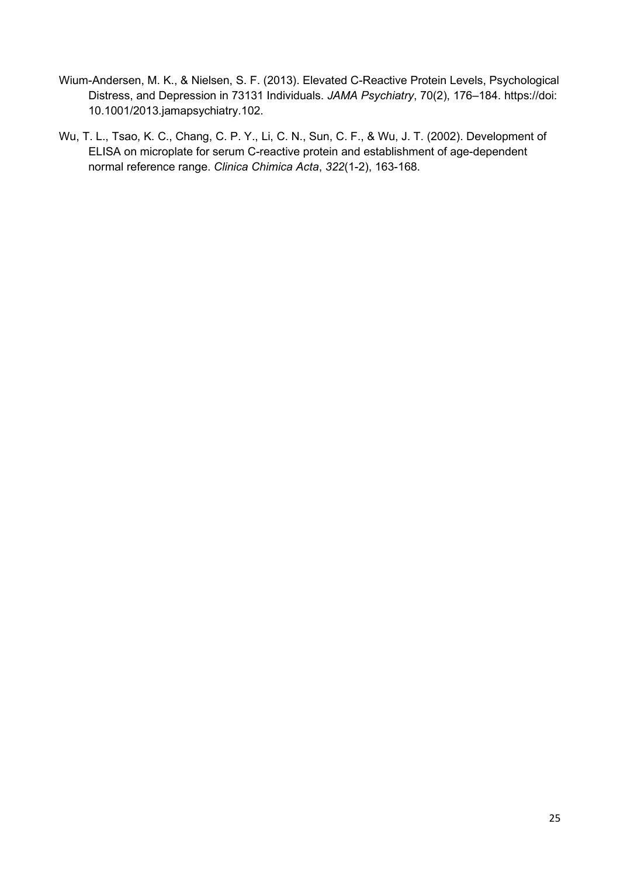- Wium-Andersen, M. K., & Nielsen, S. F. (2013). Elevated C-Reactive Protein Levels, Psychological Distress, and Depression in 73131 Individuals. *JAMA Psychiatry*, 70(2), 176–184. https://doi: 10.1001/2013.jamapsychiatry.102.
- Wu, T. L., Tsao, K. C., Chang, C. P. Y., Li, C. N., Sun, C. F., & Wu, J. T. (2002). Development of ELISA on microplate for serum C-reactive protein and establishment of age-dependent normal reference range. *Clinica Chimica Acta*, *322*(1-2), 163-168.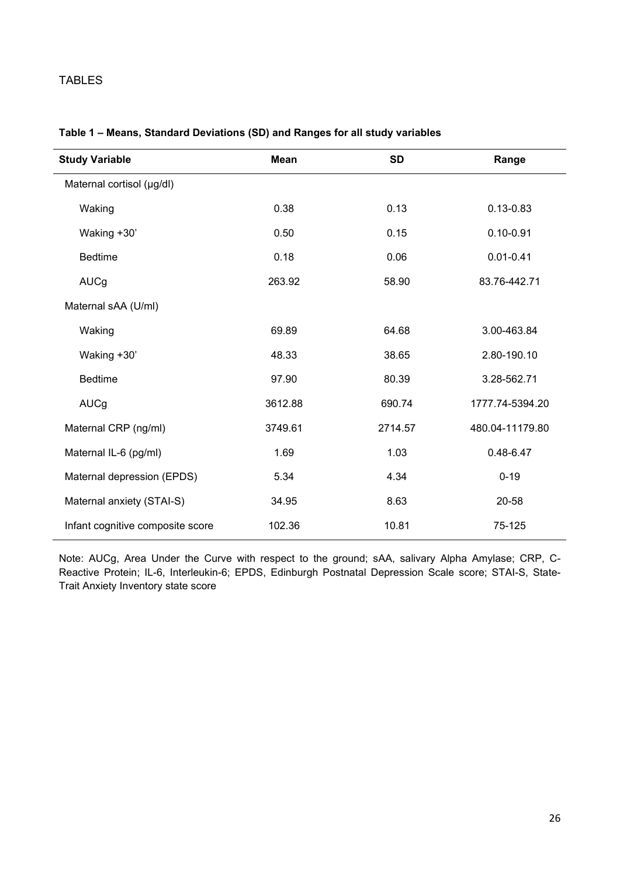# TABLES

| <b>Study Variable</b>            | <b>Mean</b> | <b>SD</b> | Range           |
|----------------------------------|-------------|-----------|-----------------|
| Maternal cortisol (µg/dl)        |             |           |                 |
| Waking                           | 0.38        | 0.13      | $0.13 - 0.83$   |
| Waking +30'                      | 0.50        | 0.15      | $0.10 - 0.91$   |
| <b>Bedtime</b>                   | 0.18        | 0.06      | $0.01 - 0.41$   |
| <b>AUCg</b>                      | 263.92      | 58.90     | 83.76-442.71    |
| Maternal sAA (U/ml)              |             |           |                 |
| Waking                           | 69.89       | 64.68     | 3.00-463.84     |
| Waking +30'                      | 48.33       | 38.65     | 2.80-190.10     |
| <b>Bedtime</b>                   | 97.90       | 80.39     | 3.28-562.71     |
| <b>AUCg</b>                      | 3612.88     | 690.74    | 1777.74-5394.20 |
| Maternal CRP (ng/ml)             | 3749.61     | 2714.57   | 480.04-11179.80 |
| Maternal IL-6 (pg/ml)            | 1.69        | 1.03      | $0.48 - 6.47$   |
| Maternal depression (EPDS)       | 5.34        | 4.34      | $0 - 19$        |
| Maternal anxiety (STAI-S)        | 34.95       | 8.63      | 20-58           |
| Infant cognitive composite score | 102.36      | 10.81     | 75-125          |

# **Table 1 – Means, Standard Deviations (SD) and Ranges for all study variables**

Note: AUCg, Area Under the Curve with respect to the ground; sAA, salivary Alpha Amylase; CRP, C-Reactive Protein; IL-6, Interleukin-6; EPDS, Edinburgh Postnatal Depression Scale score; STAI-S, State-Trait Anxiety Inventory state score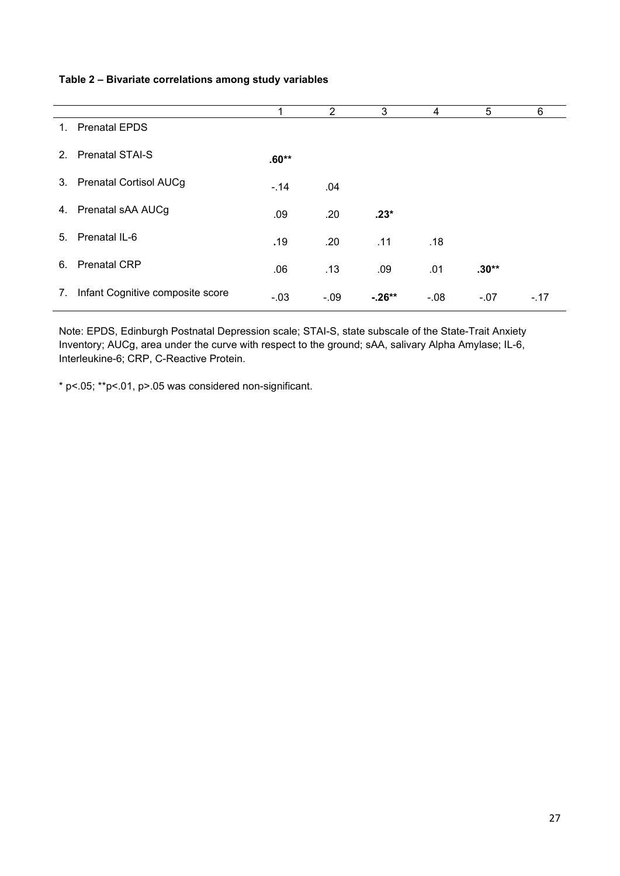## **Table 2 – Bivariate correlations among study variables**

|                                          |         | $\mathbf{2}^{\circ}$ | 3         | 4      | 5       | 6      |
|------------------------------------------|---------|----------------------|-----------|--------|---------|--------|
| <b>Prenatal EPDS</b><br>1.               |         |                      |           |        |         |        |
| <b>Prenatal STAI-S</b><br>2 <sub>1</sub> | $.60**$ |                      |           |        |         |        |
| 3. Prenatal Cortisol AUCg                | $-.14$  | .04                  |           |        |         |        |
| Prenatal sAA AUCg<br>4.                  | .09     | .20                  | $.23*$    |        |         |        |
| Prenatal IL-6<br>5.                      | .19     | .20                  | .11       | .18    |         |        |
| <b>Prenatal CRP</b><br>6.                | .06     | .13                  | .09       | .01    | $.30**$ |        |
| Infant Cognitive composite score<br>7.   | $-.03$  | $-.09$               | $-0.26**$ | $-.08$ | $-.07$  | $-.17$ |

Note: EPDS, Edinburgh Postnatal Depression scale; STAI-S, state subscale of the State-Trait Anxiety Inventory; AUCg, area under the curve with respect to the ground; sAA, salivary Alpha Amylase; IL-6, Interleukine-6; CRP, C-Reactive Protein.

\* p<.05; \*\*p<.01, p>.05 was considered non-significant.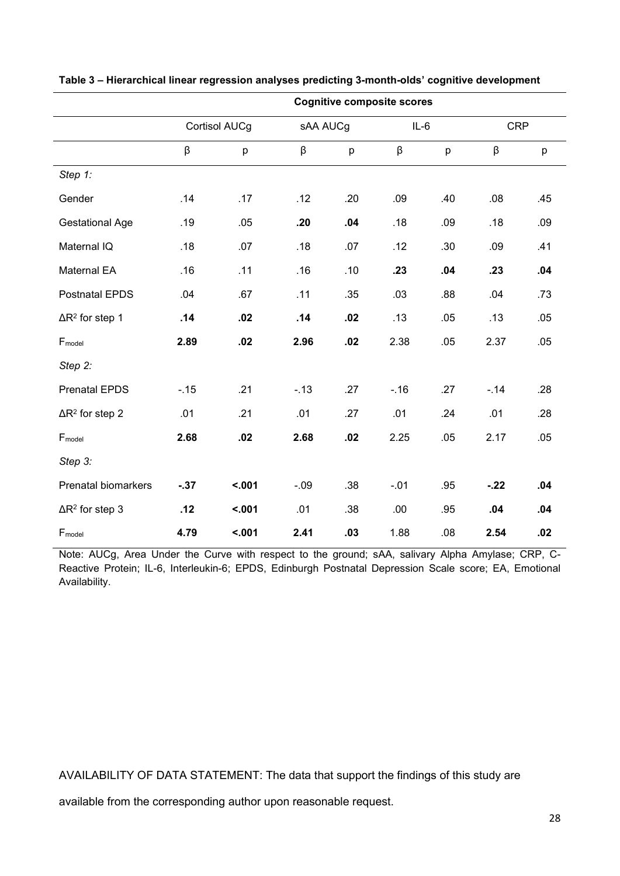|                                    | <b>Cognitive composite scores</b> |               |          |     |        |                  |            |     |  |
|------------------------------------|-----------------------------------|---------------|----------|-----|--------|------------------|------------|-----|--|
|                                    |                                   | Cortisol AUCg | sAA AUCg |     | $IL-6$ |                  | <b>CRP</b> |     |  |
|                                    | β                                 | p             | β        | p   | β      | p                | β          | p   |  |
| Step 1:                            |                                   |               |          |     |        |                  |            |     |  |
| Gender                             | .14                               | .17           | .12      | .20 | .09    | .40              | .08        | .45 |  |
| <b>Gestational Age</b>             | .19                               | .05           | .20      | .04 | .18    | .09              | .18        | .09 |  |
| Maternal IQ                        | .18                               | .07           | .18      | .07 | .12    | .30              | .09        | .41 |  |
| Maternal EA                        | .16                               | .11           | .16      | .10 | .23    | .04              | .23        | .04 |  |
| <b>Postnatal EPDS</b>              | .04                               | .67           | .11      | .35 | .03    | .88              | .04        | .73 |  |
| $\Delta$ R <sup>2</sup> for step 1 | .14                               | .02           | .14      | .02 | .13    | .05              | .13        | .05 |  |
| Fmodel                             | 2.89                              | .02           | 2.96     | .02 | 2.38   | .05              | 2.37       | .05 |  |
| Step 2:                            |                                   |               |          |     |        |                  |            |     |  |
| <b>Prenatal EPDS</b>               | $-15$                             | .21           | $-.13$   | .27 | $-.16$ | .27              | $-.14$     | .28 |  |
| $\Delta$ R <sup>2</sup> for step 2 | .01                               | .21           | .01      | .27 | .01    | .24              | .01        | .28 |  |
| Fmodel                             | 2.68                              | .02           | 2.68     | .02 | 2.25   | .05              | 2.17       | .05 |  |
| Step 3:                            |                                   |               |          |     |        |                  |            |     |  |
| Prenatal biomarkers                | $-37$                             | < .001        | $-.09$   | .38 | $-.01$ | .95              | $-22$      | .04 |  |
| $\Delta$ R <sup>2</sup> for step 3 | .12                               | < .001        | .01      | .38 | .00.   | .95              | .04        | .04 |  |
| Fmodel                             | 4.79                              | < .001        | 2.41     | .03 | 1.88   | .08 <sub>0</sub> | 2.54       | .02 |  |

|  |  | Table 3 – Hierarchical linear regression analyses predicting 3-month-olds' cognitive development |  |  |  |  |  |
|--|--|--------------------------------------------------------------------------------------------------|--|--|--|--|--|
|--|--|--------------------------------------------------------------------------------------------------|--|--|--|--|--|

Note: AUCg, Area Under the Curve with respect to the ground; sAA, salivary Alpha Amylase; CRP, C-Reactive Protein; IL-6, Interleukin-6; EPDS, Edinburgh Postnatal Depression Scale score; EA, Emotional Availability.

AVAILABILITY OF DATA STATEMENT: The data that support the findings of this study are

available from the corresponding author upon reasonable request.